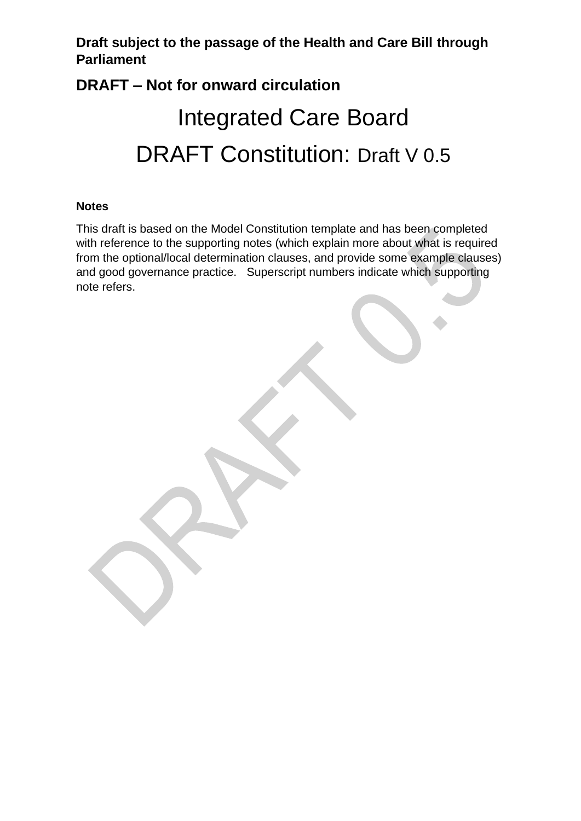# **DRAFT – Not for onward circulation** Integrated Care Board DRAFT Constitution: Draft V 0.5

#### **Notes**

This draft is based on the Model Constitution template and has been completed with reference to the supporting notes (which explain more about what is required from the optional/local determination clauses, and provide some example clauses) and good governance practice. Superscript numbers indicate which supporting note refers.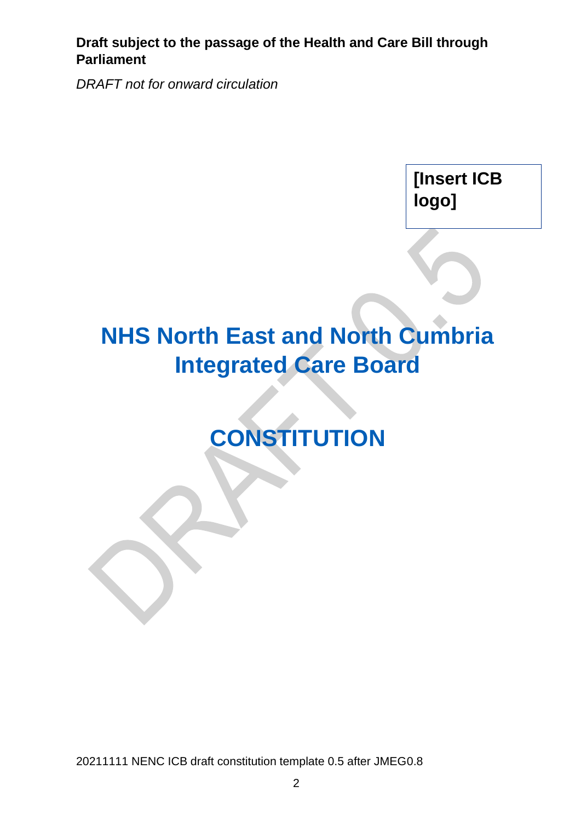*DRAFT not for onward circulation*

**[Insert ICB logo]**

# **NHS North East and North Cumbria Integrated Care Board**

# **CONSTITUTION**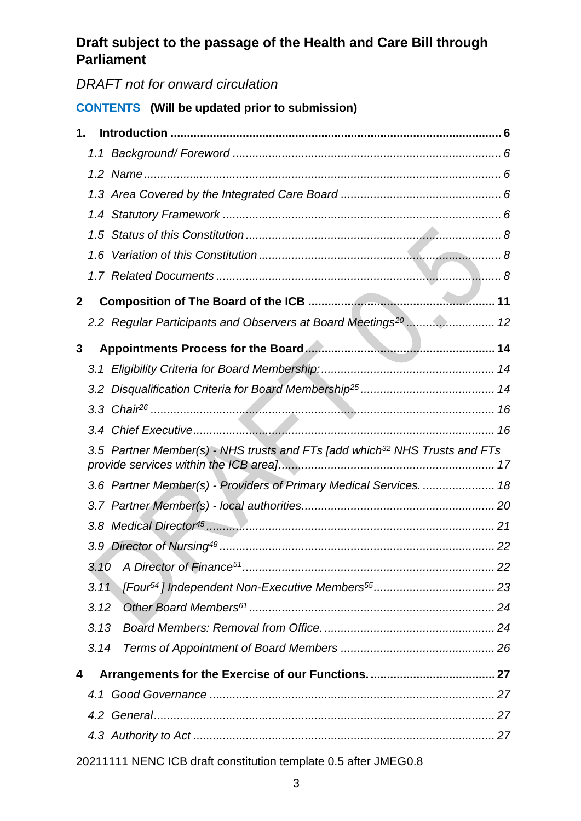# *DRAFT not for onward circulation*

## **CONTENTS (Will be updated prior to submission)**

|              | 1.1  |                                                                                        |  |
|--------------|------|----------------------------------------------------------------------------------------|--|
|              |      |                                                                                        |  |
|              |      |                                                                                        |  |
|              |      |                                                                                        |  |
|              | 1.5  |                                                                                        |  |
|              | 1.6  |                                                                                        |  |
|              |      |                                                                                        |  |
| $\mathbf{2}$ |      |                                                                                        |  |
|              |      | 2.2 Regular Participants and Observers at Board Meetings <sup>20</sup> 12              |  |
| 3            |      |                                                                                        |  |
|              |      |                                                                                        |  |
|              |      |                                                                                        |  |
|              |      |                                                                                        |  |
|              |      |                                                                                        |  |
|              |      |                                                                                        |  |
|              |      | 3.5 Partner Member(s) - NHS trusts and FTs [add which <sup>32</sup> NHS Trusts and FTs |  |
|              |      | 3.6 Partner Member(s) - Providers of Primary Medical Services.  18                     |  |
|              |      |                                                                                        |  |
|              |      |                                                                                        |  |
|              |      |                                                                                        |  |
|              | 3.10 |                                                                                        |  |
|              | 3.11 |                                                                                        |  |
|              | 3.12 |                                                                                        |  |
|              | 3.13 |                                                                                        |  |
|              | 3.14 |                                                                                        |  |
| 4            |      |                                                                                        |  |
|              | 4.1  |                                                                                        |  |
|              |      |                                                                                        |  |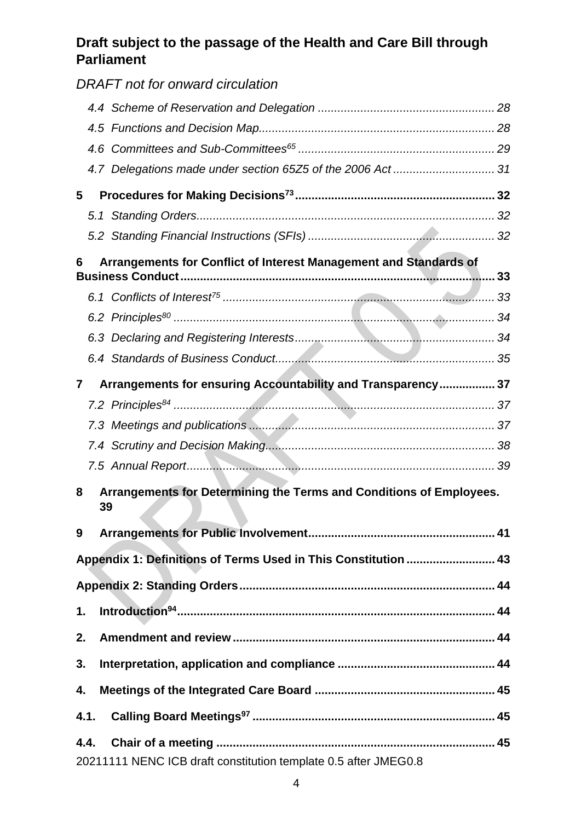|                                                                        | DRAFT not for onward circulation                                          |  |  |  |
|------------------------------------------------------------------------|---------------------------------------------------------------------------|--|--|--|
|                                                                        |                                                                           |  |  |  |
|                                                                        |                                                                           |  |  |  |
|                                                                        |                                                                           |  |  |  |
|                                                                        | 4.7 Delegations made under section 65Z5 of the 2006 Act  31               |  |  |  |
| 5                                                                      |                                                                           |  |  |  |
|                                                                        |                                                                           |  |  |  |
|                                                                        |                                                                           |  |  |  |
| Arrangements for Conflict of Interest Management and Standards of<br>6 |                                                                           |  |  |  |
|                                                                        |                                                                           |  |  |  |
|                                                                        |                                                                           |  |  |  |
|                                                                        |                                                                           |  |  |  |
|                                                                        |                                                                           |  |  |  |
| 7                                                                      | Arrangements for ensuring Accountability and Transparency 37              |  |  |  |
|                                                                        |                                                                           |  |  |  |
|                                                                        |                                                                           |  |  |  |
|                                                                        |                                                                           |  |  |  |
|                                                                        |                                                                           |  |  |  |
| 8                                                                      | Arrangements for Determining the Terms and Conditions of Employees.<br>39 |  |  |  |
| 9                                                                      |                                                                           |  |  |  |
|                                                                        | Appendix 1: Definitions of Terms Used in This Constitution  43            |  |  |  |
|                                                                        |                                                                           |  |  |  |
| 1.                                                                     |                                                                           |  |  |  |
| 2.                                                                     |                                                                           |  |  |  |
| 3.                                                                     |                                                                           |  |  |  |
| 4.                                                                     |                                                                           |  |  |  |
| 4.1.                                                                   |                                                                           |  |  |  |
| 4.4.                                                                   |                                                                           |  |  |  |
|                                                                        | 20211111 NENC ICB draft constitution template 0.5 after JMEG0.8           |  |  |  |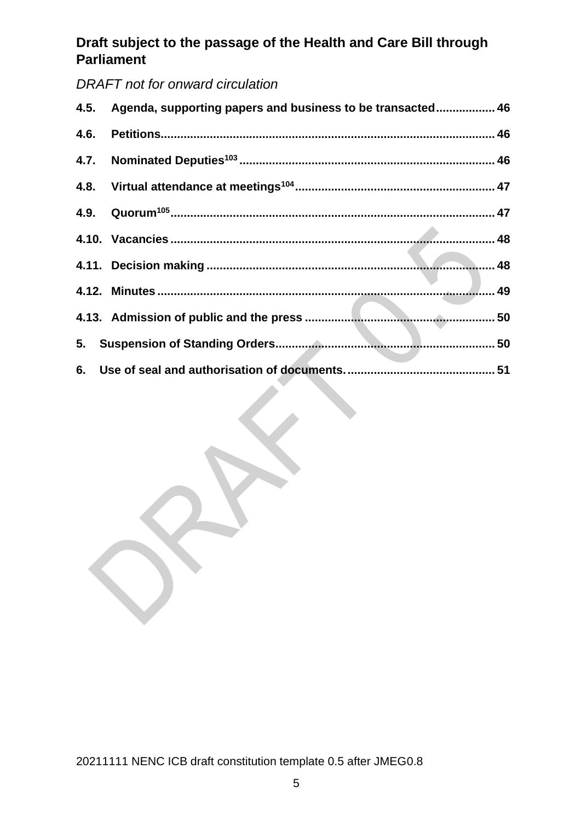## *DRAFT not for onward circulation*

| 4.5. Agenda, supporting papers and business to be transacted 46 |  |
|-----------------------------------------------------------------|--|
|                                                                 |  |
|                                                                 |  |
|                                                                 |  |
|                                                                 |  |
|                                                                 |  |
|                                                                 |  |
|                                                                 |  |
|                                                                 |  |
|                                                                 |  |
|                                                                 |  |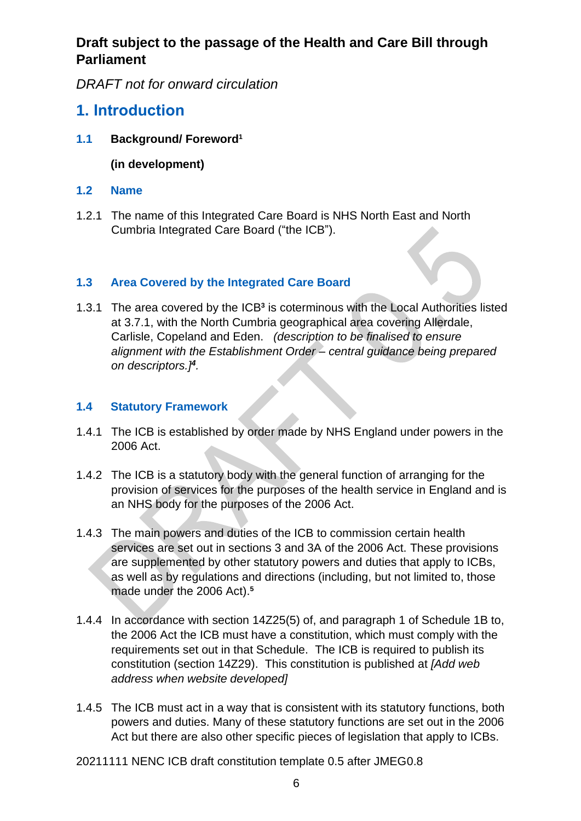*DRAFT not for onward circulation*

# <span id="page-5-0"></span>**1. Introduction**

<span id="page-5-1"></span>**1.1 Background/ Foreword<sup>1</sup>**

**(in development)**

- <span id="page-5-2"></span>**1.2 Name**
- 1.2.1 The name of this Integrated Care Board is NHS North East and North Cumbria Integrated Care Board ("the ICB").

#### <span id="page-5-3"></span>**1.3 Area Covered by the Integrated Care Board**

1.3.1 The area covered by the ICB**<sup>3</sup>** is coterminous with the Local Authorities listed at 3.7.1, with the North Cumbria geographical area covering Allerdale, Carlisle, Copeland and Eden. *(description to be finalised to ensure alignment with the Establishment Order – central guidance being prepared on descriptors.]<sup>4</sup> .*

#### <span id="page-5-4"></span>**1.4 Statutory Framework**

- 1.4.1 The ICB is established by order made by NHS England under powers in the 2006 Act.
- 1.4.2 The ICB is a statutory body with the general function of arranging for the provision of services for the purposes of the health service in England and is an NHS body for the purposes of the 2006 Act.
- 1.4.3 The main powers and duties of the ICB to commission certain health services are set out in sections 3 and 3A of the 2006 Act. These provisions are supplemented by other statutory powers and duties that apply to ICBs, as well as by regulations and directions (including, but not limited to, those made under the 2006 Act). **5**
- 1.4.4 In accordance with section 14Z25(5) of, and paragraph 1 of Schedule 1B to, the 2006 Act the ICB must have a constitution, which must comply with the requirements set out in that Schedule. The ICB is required to publish its constitution (section 14Z29). This constitution is published at *[Add web address when website developed]*
- 1.4.5 The ICB must act in a way that is consistent with its statutory functions, both powers and duties. Many of these statutory functions are set out in the 2006 Act but there are also other specific pieces of legislation that apply to ICBs.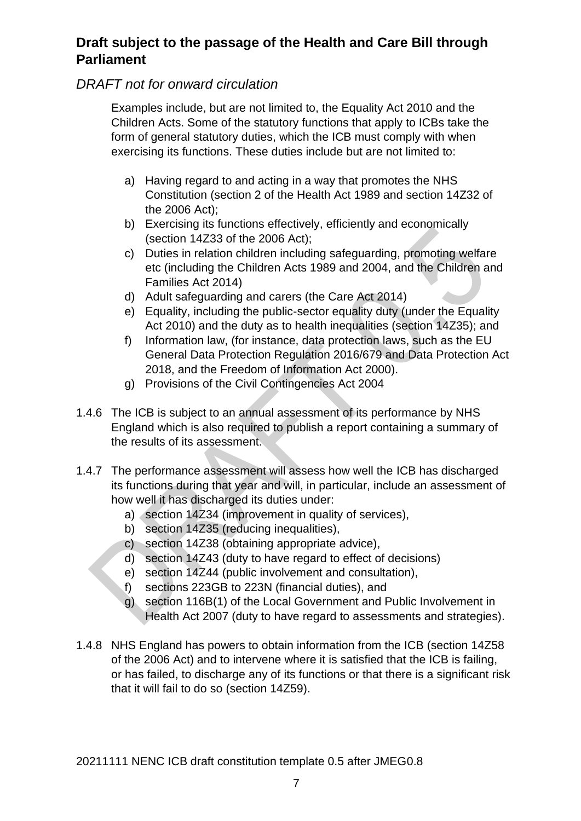#### *DRAFT not for onward circulation*

Examples include, but are not limited to, the Equality Act 2010 and the Children Acts. Some of the statutory functions that apply to ICBs take the form of general statutory duties, which the ICB must comply with when exercising its functions. These duties include but are not limited to:

- a) Having regard to and acting in a way that promotes the NHS Constitution (section 2 of the Health Act 1989 and section 14Z32 of the 2006 Act);
- b) Exercising its functions effectively, efficiently and economically (section 14Z33 of the 2006 Act);
- c) Duties in relation children including safeguarding, promoting welfare etc (including the Children Acts 1989 and 2004, and the Children and Families Act 2014)
- d) Adult safeguarding and carers (the Care Act 2014)
- e) Equality, including the public-sector equality duty (under the Equality Act 2010) and the duty as to health inequalities (section 14Z35); and
- f) Information law, (for instance, data protection laws, such as the EU General Data Protection Regulation 2016/679 and Data Protection Act 2018, and the Freedom of Information Act 2000).
- g) Provisions of the Civil Contingencies Act 2004
- 1.4.6 The ICB is subject to an annual assessment of its performance by NHS England which is also required to publish a report containing a summary of the results of its assessment.
- 1.4.7 The performance assessment will assess how well the ICB has discharged its functions during that year and will, in particular, include an assessment of how well it has discharged its duties under:
	- a) section 14Z34 (improvement in quality of services),
	- b) section 14Z35 (reducing inequalities),
	- c) section 14Z38 (obtaining appropriate advice),
	- d) section 14Z43 (duty to have regard to effect of decisions)
	- e) section 14Z44 (public involvement and consultation),
	- f) sections 223GB to 223N (financial duties), and
	- g) section 116B(1) of the Local Government and Public Involvement in Health Act 2007 (duty to have regard to assessments and strategies).
- 1.4.8 NHS England has powers to obtain information from the ICB (section 14Z58 of the 2006 Act) and to intervene where it is satisfied that the ICB is failing, or has failed, to discharge any of its functions or that there is a significant risk that it will fail to do so (section 14Z59).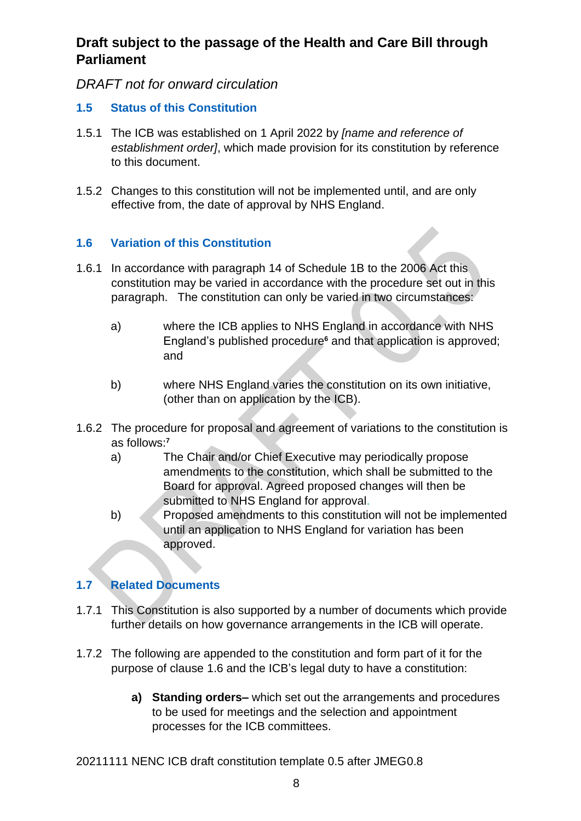#### *DRAFT not for onward circulation*

#### <span id="page-7-0"></span>**1.5 Status of this Constitution**

- 1.5.1 The ICB was established on 1 April 2022 by *[name and reference of establishment order]*, which made provision for its constitution by reference to this document.
- 1.5.2 Changes to this constitution will not be implemented until, and are only effective from, the date of approval by NHS England.

#### <span id="page-7-1"></span>**1.6 Variation of this Constitution**

- 1.6.1 In accordance with paragraph 14 of Schedule 1B to the 2006 Act this constitution may be varied in accordance with the procedure set out in this paragraph. The constitution can only be varied in two circumstances:
	- a) where the ICB applies to NHS England in accordance with NHS England's published procedure**<sup>6</sup>** and that application is approved; and
	- b) where NHS England varies the constitution on its own initiative, (other than on application by the ICB).
- 1.6.2 The procedure for proposal and agreement of variations to the constitution is as follows: **7**
	- a) The Chair and/or Chief Executive may periodically propose amendments to the constitution, which shall be submitted to the Board for approval. Agreed proposed changes will then be submitted to NHS England for approval.
	- b) Proposed amendments to this constitution will not be implemented until an application to NHS England for variation has been approved.

#### <span id="page-7-2"></span>**1.7 Related Documents**

- 1.7.1 This Constitution is also supported by a number of documents which provide further details on how governance arrangements in the ICB will operate.
- 1.7.2 The following are appended to the constitution and form part of it for the purpose of clause 1.6 and the ICB's legal duty to have a constitution:
	- **a) Standing orders–** which set out the arrangements and procedures to be used for meetings and the selection and appointment processes for the ICB committees.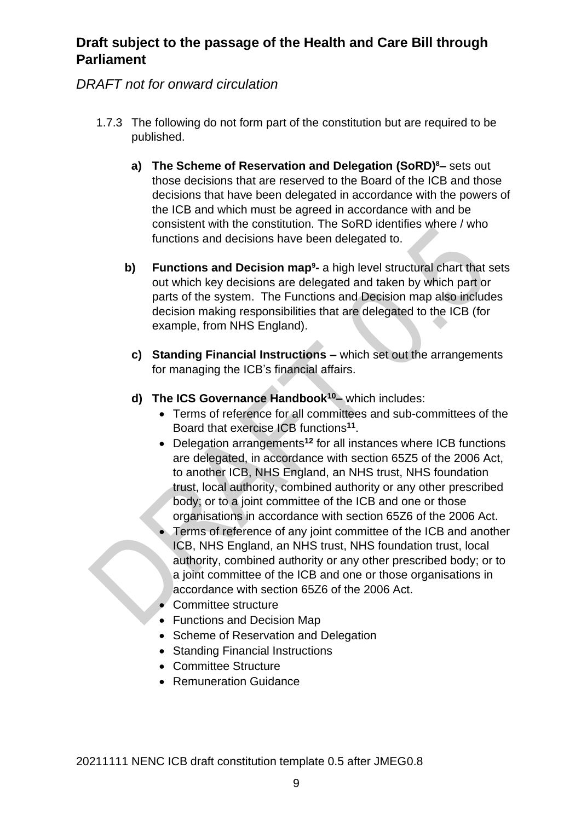## *DRAFT not for onward circulation*

- 1.7.3 The following do not form part of the constitution but are required to be published.
	- **a) The Scheme of Reservation and Delegation (SoRD)8–** sets out those decisions that are reserved to the Board of the ICB and those decisions that have been delegated in accordance with the powers of the ICB and which must be agreed in accordance with and be consistent with the constitution. The SoRD identifies where / who functions and decisions have been delegated to.
	- **b) Functions and Decision map<sup>9</sup> -** a high level structural chart that sets out which key decisions are delegated and taken by which part or parts of the system. The Functions and Decision map also includes decision making responsibilities that are delegated to the ICB (for example, from NHS England).
		- **c) Standing Financial Instructions –** which set out the arrangements for managing the ICB's financial affairs.
	- **d) The ICS Governance Handbook<sup>10</sup>–** which includes:
		- Terms of reference for all committees and sub-committees of the Board that exercise ICB functions**<sup>11</sup>** .
		- Delegation arrangements**<sup>12</sup>** for all instances where ICB functions are delegated, in accordance with section 65Z5 of the 2006 Act, to another ICB, NHS England, an NHS trust, NHS foundation trust, local authority, combined authority or any other prescribed body; or to a joint committee of the ICB and one or those organisations in accordance with section 65Z6 of the 2006 Act.
		- Terms of reference of any joint committee of the ICB and another ICB, NHS England, an NHS trust, NHS foundation trust, local authority, combined authority or any other prescribed body; or to a joint committee of the ICB and one or those organisations in accordance with section 65Z6 of the 2006 Act.
		- Committee structure
		- Functions and Decision Map
		- Scheme of Reservation and Delegation
		- Standing Financial Instructions
		- Committee Structure
		- Remuneration Guidance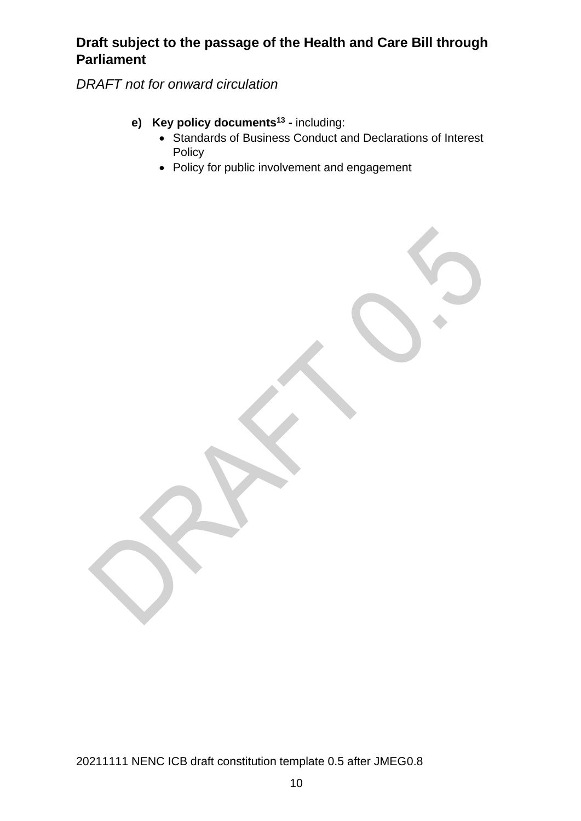*DRAFT not for onward circulation*

- **e) Key policy documents<sup>13</sup> -** including:
	- Standards of Business Conduct and Declarations of Interest Policy
	- Policy for public involvement and engagement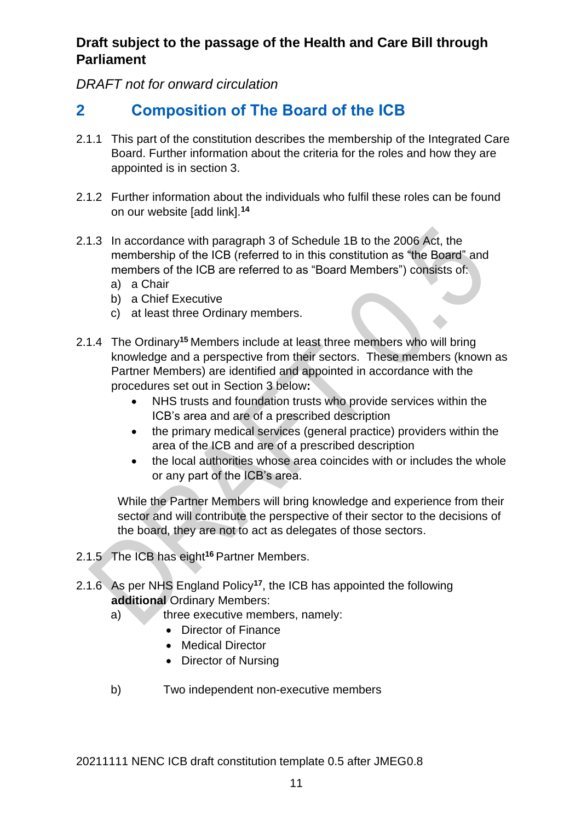*DRAFT not for onward circulation*

# <span id="page-10-0"></span>**2 Composition of The Board of the ICB**

- 2.1.1 This part of the constitution describes the membership of the Integrated Care Board. Further information about the criteria for the roles and how they are appointed is in section 3.
- 2.1.2 Further information about the individuals who fulfil these roles can be found on our website [add link].**<sup>14</sup>**
- 2.1.3 In accordance with paragraph 3 of Schedule 1B to the 2006 Act, the membership of the ICB (referred to in this constitution as "the Board" and members of the ICB are referred to as "Board Members") consists of:
	- a) a Chair
	- b) a Chief Executive
	- c) at least three Ordinary members.
- 2.1.4 The Ordinary**<sup>15</sup>** Members include at least three members who will bring knowledge and a perspective from their sectors. These members (known as Partner Members) are identified and appointed in accordance with the procedures set out in Section 3 below**:**
	- NHS trusts and foundation trusts who provide services within the ICB's area and are of a prescribed description
	- the primary medical services (general practice) providers within the area of the ICB and are of a prescribed description
	- the local authorities whose area coincides with or includes the whole or any part of the ICB's area.

While the Partner Members will bring knowledge and experience from their sector and will contribute the perspective of their sector to the decisions of the board, they are not to act as delegates of those sectors.

- 2.1.5 The ICB has eight**<sup>16</sup>** Partner Members.
- 2.1.6 As per NHS England Policy**<sup>17</sup>**, the ICB has appointed the following **additional** Ordinary Members:
	- a) three executive members, namely:
		- Director of Finance
		- Medical Director
		- Director of Nursing
	- b) Two independent non-executive members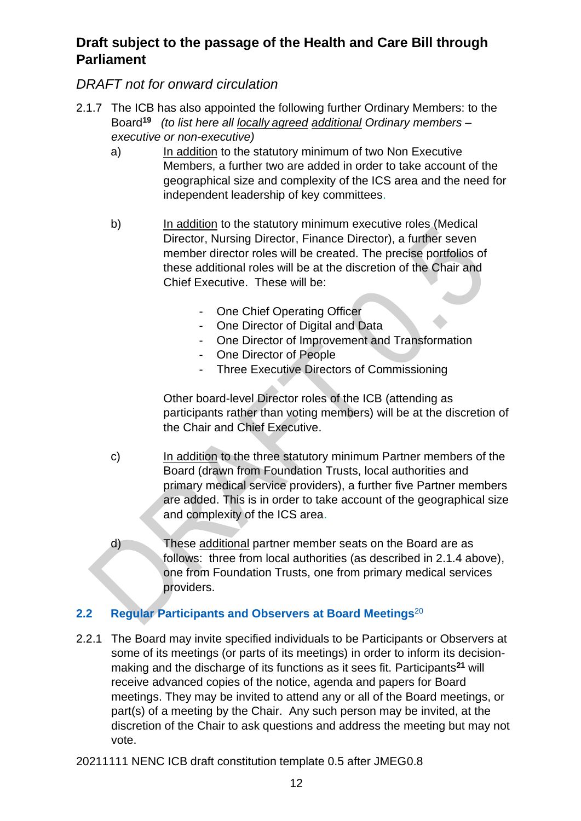## *DRAFT not for onward circulation*

- 2.1.7 The ICB has also appointed the following further Ordinary Members: to the Board**<sup>19</sup>** *(to list here all locally agreed additional Ordinary members – executive or non-executive)*
	- a) In addition to the statutory minimum of two Non Executive Members, a further two are added in order to take account of the geographical size and complexity of the ICS area and the need for independent leadership of key committees.
	- b) In addition to the statutory minimum executive roles (Medical Director, Nursing Director, Finance Director), a further seven member director roles will be created. The precise portfolios of these additional roles will be at the discretion of the Chair and Chief Executive. These will be:
		- One Chief Operating Officer
		- One Director of Digital and Data
		- One Director of Improvement and Transformation
		- One Director of People
		- Three Executive Directors of Commissioning

Other board-level Director roles of the ICB (attending as participants rather than voting members) will be at the discretion of the Chair and Chief Executive.

- c) In addition to the three statutory minimum Partner members of the Board (drawn from Foundation Trusts, local authorities and primary medical service providers), a further five Partner members are added. This is in order to take account of the geographical size and complexity of the ICS area.
- d) These additional partner member seats on the Board are as follows: three from local authorities (as described in 2.1.4 above), one from Foundation Trusts, one from primary medical services providers.

#### <span id="page-11-0"></span>**2.2 Regular Participants and Observers at Board Meetings**<sup>20</sup>

2.2.1 The Board may invite specified individuals to be Participants or Observers at some of its meetings (or parts of its meetings) in order to inform its decisionmaking and the discharge of its functions as it sees fit. Participants**<sup>21</sup>** will receive advanced copies of the notice, agenda and papers for Board meetings. They may be invited to attend any or all of the Board meetings, or part(s) of a meeting by the Chair. Any such person may be invited, at the discretion of the Chair to ask questions and address the meeting but may not vote.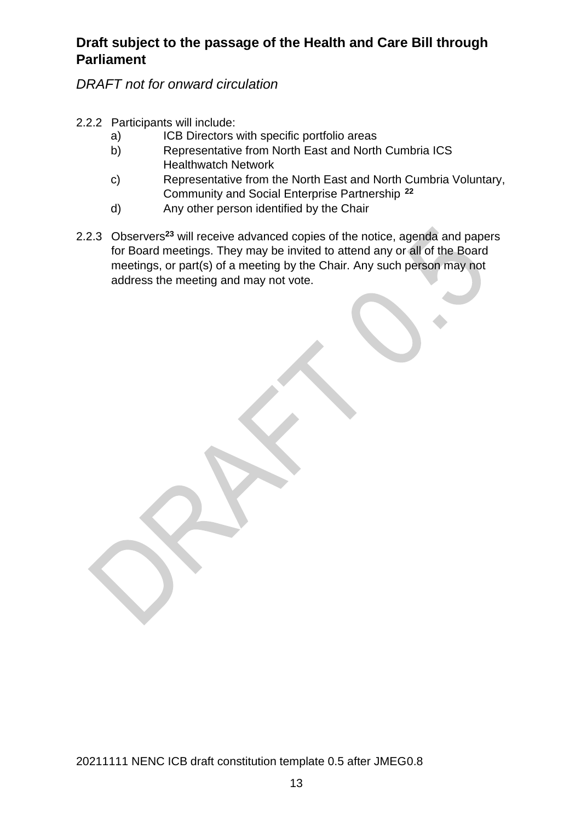*DRAFT not for onward circulation*

2.2.2 Participants will include:

- a) **ICB** Directors with specific portfolio areas
- b) Representative from North East and North Cumbria ICS Healthwatch Network
- c) Representative from the North East and North Cumbria Voluntary, Community and Social Enterprise Partnership**<sup>22</sup>**
- d) Any other person identified by the Chair
- 2.2.3 Observers<sup>23</sup> will receive advanced copies of the notice, agenda and papers for Board meetings. They may be invited to attend any or all of the Board meetings, or part(s) of a meeting by the Chair. Any such person may not address the meeting and may not vote.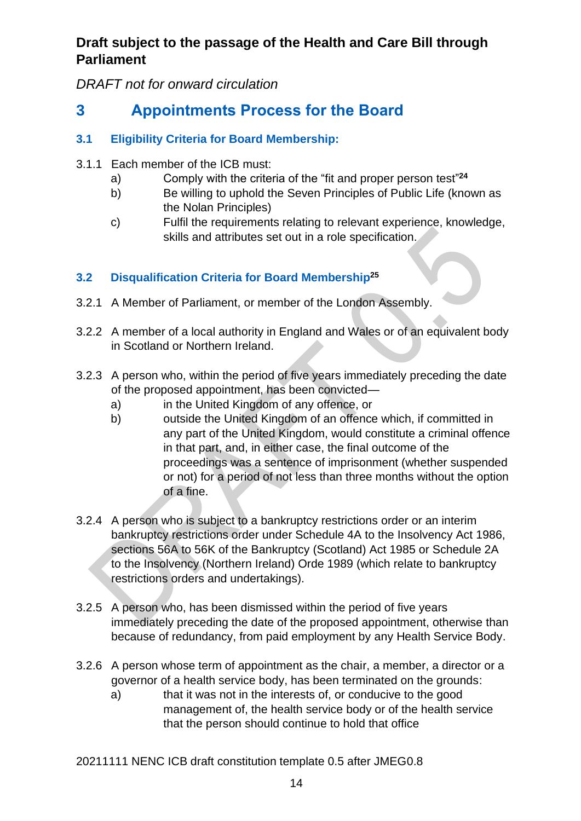*DRAFT not for onward circulation*

# <span id="page-13-0"></span>**3 Appointments Process for the Board**

#### <span id="page-13-1"></span>**3.1 Eligibility Criteria for Board Membership:**

- 3.1.1 Each member of the ICB must:
	- a) Comply with the criteria of the "fit and proper person test" **24**
	- b) Be willing to uphold the Seven Principles of Public Life (known as the Nolan Principles)
	- c) Fulfil the requirements relating to relevant experience, knowledge, skills and attributes set out in a role specification.

## <span id="page-13-2"></span>**3.2 Disqualification Criteria for Board Membership<sup>25</sup>**

- 3.2.1 A Member of Parliament, or member of the London Assembly.
- 3.2.2 A member of a local authority in England and Wales or of an equivalent body in Scotland or Northern Ireland.
- 3.2.3 A person who, within the period of five years immediately preceding the date of the proposed appointment, has been convicted
	- a) in the United Kingdom of any offence, or
	- b) outside the United Kingdom of an offence which, if committed in any part of the United Kingdom, would constitute a criminal offence in that part, and, in either case, the final outcome of the proceedings was a sentence of imprisonment (whether suspended or not) for a period of not less than three months without the option of a fine.
- 3.2.4 A person who is subject to a bankruptcy restrictions order or an interim bankruptcy restrictions order under Schedule 4A to the Insolvency Act 1986, sections 56A to 56K of the Bankruptcy (Scotland) Act 1985 or Schedule 2A to the Insolvency (Northern Ireland) Orde 1989 (which relate to bankruptcy restrictions orders and undertakings).
- 3.2.5 A person who, has been dismissed within the period of five years immediately preceding the date of the proposed appointment, otherwise than because of redundancy, from paid employment by any Health Service Body.
- 3.2.6 A person whose term of appointment as the chair, a member, a director or a governor of a health service body, has been terminated on the grounds:
	- a) that it was not in the interests of, or conducive to the good management of, the health service body or of the health service that the person should continue to hold that office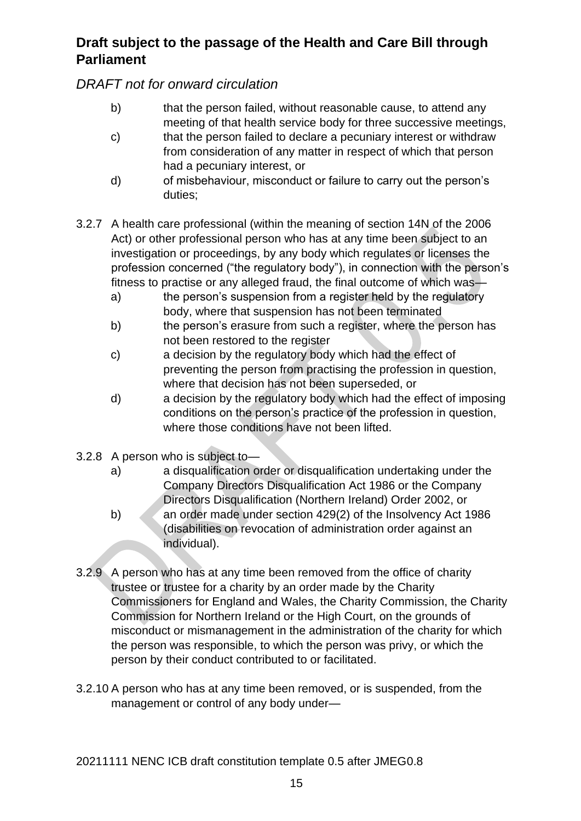## *DRAFT not for onward circulation*

- b) that the person failed, without reasonable cause, to attend any meeting of that health service body for three successive meetings,
- c) that the person failed to declare a pecuniary interest or withdraw from consideration of any matter in respect of which that person had a pecuniary interest, or
- d) of misbehaviour, misconduct or failure to carry out the person's duties;
- 3.2.7 A health care professional (within the meaning of section 14N of the 2006 Act) or other professional person who has at any time been subject to an investigation or proceedings, by any body which regulates or licenses the profession concerned ("the regulatory body"), in connection with the person's fitness to practise or any alleged fraud, the final outcome of which was
	- a) the person's suspension from a register held by the regulatory body, where that suspension has not been terminated
	- b) the person's erasure from such a register, where the person has not been restored to the register
	- c) a decision by the regulatory body which had the effect of preventing the person from practising the profession in question, where that decision has not been superseded, or
	- d) a decision by the regulatory body which had the effect of imposing conditions on the person's practice of the profession in question, where those conditions have not been lifted.
- 3.2.8 A person who is subject to
	- a) a disqualification order or disqualification undertaking under the Company Directors Disqualification Act 1986 or the Company Directors Disqualification (Northern Ireland) Order 2002, or
	- b) an order made under section 429(2) of the Insolvency Act 1986 (disabilities on revocation of administration order against an individual).
- 3.2.9 A person who has at any time been removed from the office of charity trustee or trustee for a charity by an order made by the Charity Commissioners for England and Wales, the Charity Commission, the Charity Commission for Northern Ireland or the High Court, on the grounds of misconduct or mismanagement in the administration of the charity for which the person was responsible, to which the person was privy, or which the person by their conduct contributed to or facilitated.
- 3.2.10 A person who has at any time been removed, or is suspended, from the management or control of any body under—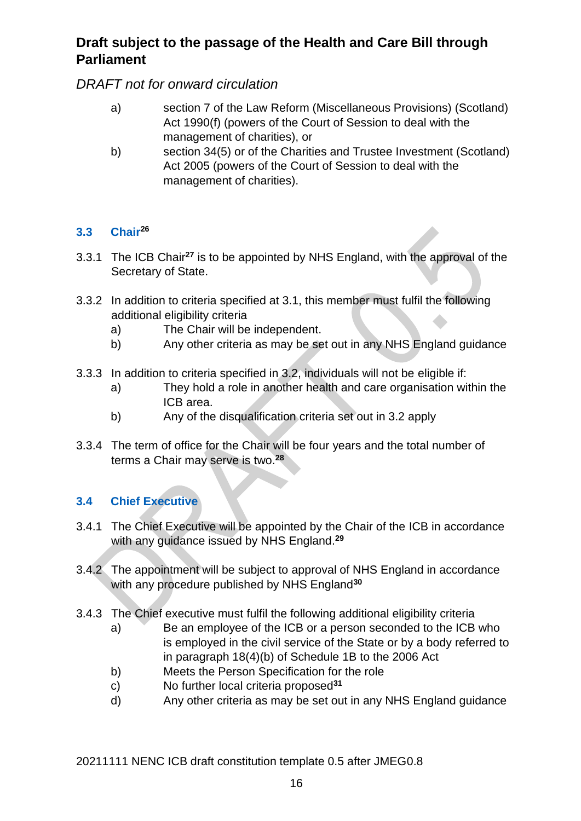#### *DRAFT not for onward circulation*

- a) section 7 of the Law Reform (Miscellaneous Provisions) (Scotland) Act 1990(f) (powers of the Court of Session to deal with the management of charities), or
- b) section 34(5) or of the Charities and Trustee Investment (Scotland) Act 2005 (powers of the Court of Session to deal with the management of charities).

#### <span id="page-15-0"></span>**3.3 Chair<sup>26</sup>**

- 3.3.1 The ICB Chair**<sup>27</sup>** is to be appointed by NHS England, with the approval of the Secretary of State.
- 3.3.2 In addition to criteria specified at 3.1, this member must fulfil the following additional eligibility criteria
	- a) The Chair will be independent.
	- b) Any other criteria as may be set out in any NHS England guidance
- 3.3.3 In addition to criteria specified in 3.2, individuals will not be eligible if:
	- a) They hold a role in another health and care organisation within the ICB area.
	- b) Any of the disqualification criteria set out in 3.2 apply
- 3.3.4 The term of office for the Chair will be four years and the total number of terms a Chair may serve is two. **28**

#### <span id="page-15-1"></span>**3.4 Chief Executive**

- 3.4.1 The Chief Executive will be appointed by the Chair of the ICB in accordance with any guidance issued by NHS England. **29**
- 3.4.2 The appointment will be subject to approval of NHS England in accordance with any procedure published by NHS England**<sup>30</sup>**
- 3.4.3 The Chief executive must fulfil the following additional eligibility criteria
	- a) Be an employee of the ICB or a person seconded to the ICB who is employed in the civil service of the State or by a body referred to in paragraph 18(4)(b) of Schedule 1B to the 2006 Act
	- b) Meets the Person Specification for the role
	- c) No further local criteria proposed**<sup>31</sup>**
	- d) Any other criteria as may be set out in any NHS England guidance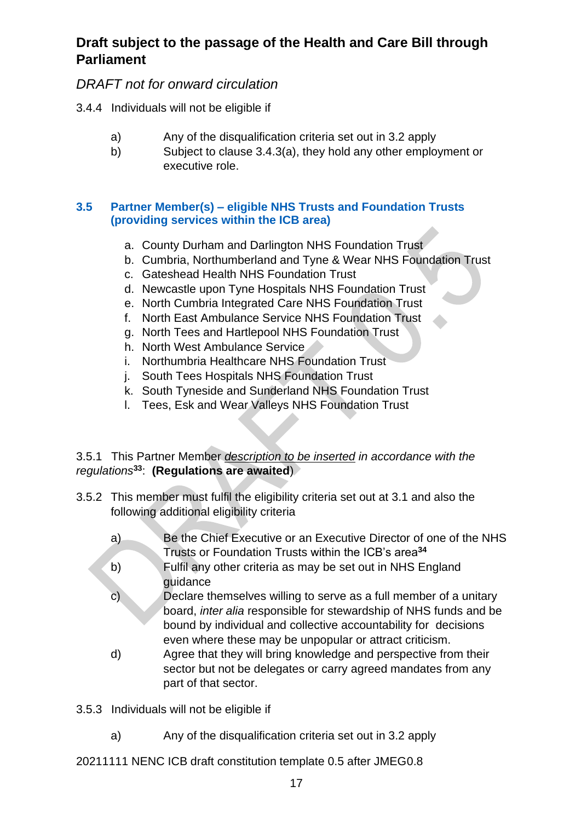#### *DRAFT not for onward circulation*

- 3.4.4 Individuals will not be eligible if
	- a) Any of the disqualification criteria set out in 3.2 apply
	- b) Subject to clause 3.4.3(a), they hold any other employment or executive role.

#### <span id="page-16-0"></span>**3.5 Partner Member(s) – eligible NHS Trusts and Foundation Trusts (providing services within the ICB area)**

- a. County Durham and Darlington NHS Foundation Trust
- b. Cumbria, Northumberland and Tyne & Wear NHS Foundation Trust
- c. Gateshead Health NHS Foundation Trust
- d. Newcastle upon Tyne Hospitals NHS Foundation Trust
- e. North Cumbria Integrated Care NHS Foundation Trust
- f. North East Ambulance Service NHS Foundation Trust
- g. North Tees and Hartlepool NHS Foundation Trust
- h. North West Ambulance Service
- i. Northumbria Healthcare NHS Foundation Trust
- j. South Tees Hospitals NHS Foundation Trust
- k. South Tyneside and Sunderland NHS Foundation Trust
- l. Tees, Esk and Wear Valleys NHS Foundation Trust

#### 3.5.1 This Partner Member *description to be inserted in accordance with the regulations***<sup>33</sup>**: **(Regulations are awaited**)

- 3.5.2 This member must fulfil the eligibility criteria set out at 3.1 and also the following additional eligibility criteria
	- a) Be the Chief Executive or an Executive Director of one of the NHS Trusts or Foundation Trusts within the ICB's area**<sup>34</sup>**
	- b) Fulfil any other criteria as may be set out in NHS England guidance
	- c) Declare themselves willing to serve as a full member of a unitary board, *inter alia* responsible for stewardship of NHS funds and be bound by individual and collective accountability for decisions even where these may be unpopular or attract criticism.
	- d) Agree that they will bring knowledge and perspective from their sector but not be delegates or carry agreed mandates from any part of that sector.

3.5.3 Individuals will not be eligible if

a) Any of the disqualification criteria set out in 3.2 apply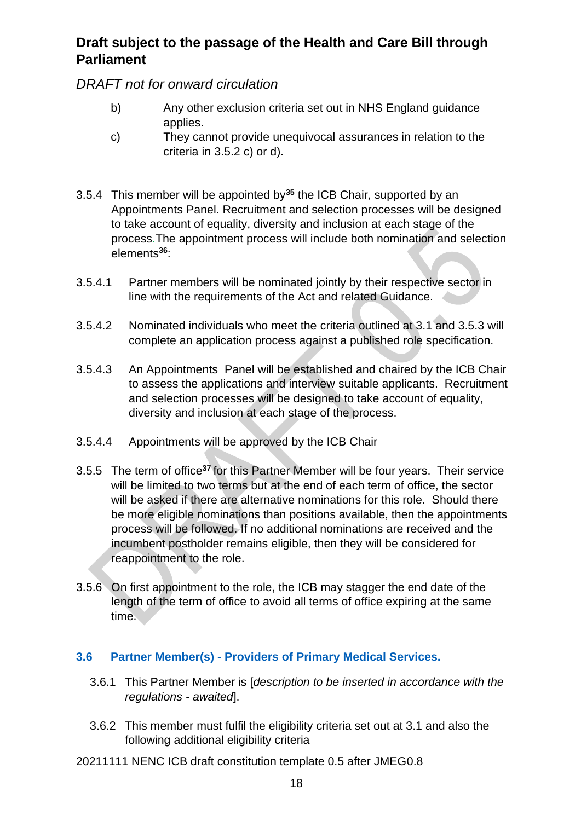*DRAFT not for onward circulation*

- b) Any other exclusion criteria set out in NHS England guidance applies.
- c) They cannot provide unequivocal assurances in relation to the criteria in 3.5.2 c) or d).
- 3.5.4 This member will be appointed by**<sup>35</sup>** the ICB Chair, supported by an Appointments Panel. Recruitment and selection processes will be designed to take account of equality, diversity and inclusion at each stage of the process.The appointment process will include both nomination and selection elements**<sup>36</sup>**:
- 3.5.4.1 Partner members will be nominated jointly by their respective sector in line with the requirements of the Act and related Guidance.
- 3.5.4.2 Nominated individuals who meet the criteria outlined at 3.1 and 3.5.3 will complete an application process against a published role specification.
- 3.5.4.3 An Appointments Panel will be established and chaired by the ICB Chair to assess the applications and interview suitable applicants. Recruitment and selection processes will be designed to take account of equality, diversity and inclusion at each stage of the process.
- 3.5.4.4 Appointments will be approved by the ICB Chair
- 3.5.5 The term of office**<sup>37</sup>** for this Partner Member will be four years. Their service will be limited to two terms but at the end of each term of office, the sector will be asked if there are alternative nominations for this role. Should there be more eligible nominations than positions available, then the appointments process will be followed. If no additional nominations are received and the incumbent postholder remains eligible, then they will be considered for reappointment to the role.
- 3.5.6 On first appointment to the role, the ICB may stagger the end date of the length of the term of office to avoid all terms of office expiring at the same time.

#### <span id="page-17-0"></span>**3.6 Partner Member(s) - Providers of Primary Medical Services.**

- 3.6.1 This Partner Member is [*description to be inserted in accordance with the regulations - awaited*].
- 3.6.2 This member must fulfil the eligibility criteria set out at 3.1 and also the following additional eligibility criteria
- 20211111 NENC ICB draft constitution template 0.5 after JMEG0.8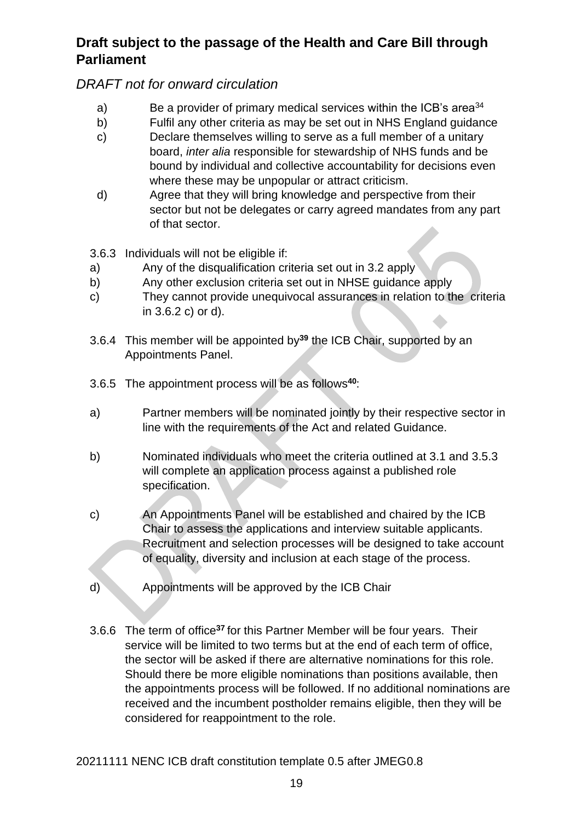#### *DRAFT not for onward circulation*

- a) Be a provider of primary medical services within the ICB's area<sup>34</sup>
- b) Fulfil any other criteria as may be set out in NHS England guidance
- c) Declare themselves willing to serve as a full member of a unitary board, *inter alia* responsible for stewardship of NHS funds and be bound by individual and collective accountability for decisions even where these may be unpopular or attract criticism.
- d) Agree that they will bring knowledge and perspective from their sector but not be delegates or carry agreed mandates from any part of that sector.
- 3.6.3 Individuals will not be eligible if:
- a) Any of the disqualification criteria set out in 3.2 apply
- b) Any other exclusion criteria set out in NHSE guidance apply
- c) They cannot provide unequivocal assurances in relation to the criteria in 3.6.2 c) or d).
- 3.6.4 This member will be appointed by**<sup>39</sup>** the ICB Chair, supported by an Appointments Panel.
- 3.6.5 The appointment process will be as follows**<sup>40</sup>**:
- a) Partner members will be nominated jointly by their respective sector in line with the requirements of the Act and related Guidance.
- b) Nominated individuals who meet the criteria outlined at 3.1 and 3.5.3 will complete an application process against a published role specification.
- c) An Appointments Panel will be established and chaired by the ICB Chair to assess the applications and interview suitable applicants. Recruitment and selection processes will be designed to take account of equality, diversity and inclusion at each stage of the process.
- d) Appointments will be approved by the ICB Chair
- 3.6.6 The term of office**<sup>37</sup>**for this Partner Member will be four years. Their service will be limited to two terms but at the end of each term of office, the sector will be asked if there are alternative nominations for this role. Should there be more eligible nominations than positions available, then the appointments process will be followed. If no additional nominations are received and the incumbent postholder remains eligible, then they will be considered for reappointment to the role.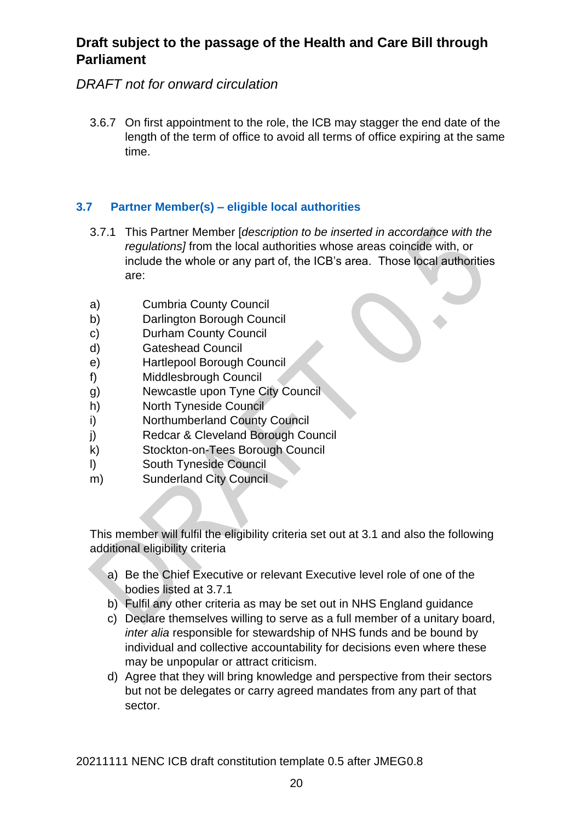## *DRAFT not for onward circulation*

3.6.7 On first appointment to the role, the ICB may stagger the end date of the length of the term of office to avoid all terms of office expiring at the same time.

#### <span id="page-19-0"></span>**3.7 Partner Member(s) – eligible local authorities**

- 3.7.1 This Partner Member [*description to be inserted in accordance with the regulations]* from the local authorities whose areas coincide with, or include the whole or any part of, the ICB's area. Those local authorities are:
- a) Cumbria County Council
- b) Darlington Borough Council
- c) Durham County Council
- d) Gateshead Council
- e) Hartlepool Borough Council
- f) Middlesbrough Council
- g) Newcastle upon Tyne City Council
- h) North Tyneside Council
- i) Northumberland County Council
- j) Redcar & Cleveland Borough Council
- k) Stockton-on-Tees Borough Council
- l) South Tyneside Council
- m) Sunderland City Council

This member will fulfil the eligibility criteria set out at 3.1 and also the following additional eligibility criteria

- a) Be the Chief Executive or relevant Executive level role of one of the bodies listed at 3.7.1
- b) Fulfil any other criteria as may be set out in NHS England guidance
- c) Declare themselves willing to serve as a full member of a unitary board, *inter alia* responsible for stewardship of NHS funds and be bound by individual and collective accountability for decisions even where these may be unpopular or attract criticism.
- d) Agree that they will bring knowledge and perspective from their sectors but not be delegates or carry agreed mandates from any part of that sector.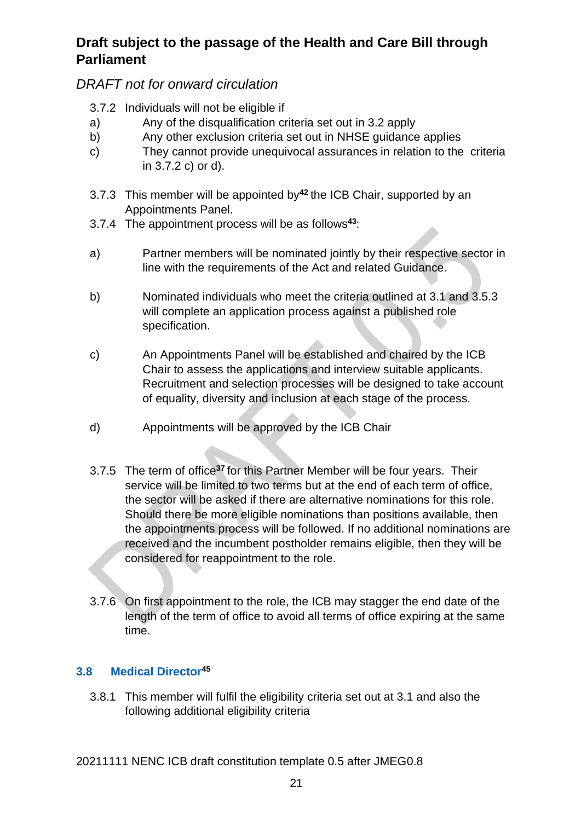#### *DRAFT not for onward circulation*

- 3.7.2 Individuals will not be eligible if
- a) Any of the disqualification criteria set out in 3.2 apply
- b) Any other exclusion criteria set out in NHSE guidance applies
- c) They cannot provide unequivocal assurances in relation to the criteria in 3.7.2 c) or d).
- 3.7.3 This member will be appointed by**<sup>42</sup>** the ICB Chair, supported by an Appointments Panel.
- 3.7.4 The appointment process will be as follows**<sup>43</sup>**:
- a) Partner members will be nominated jointly by their respective sector in line with the requirements of the Act and related Guidance.
- b) Nominated individuals who meet the criteria outlined at 3.1 and 3.5.3 will complete an application process against a published role specification.
- c) An Appointments Panel will be established and chaired by the ICB Chair to assess the applications and interview suitable applicants. Recruitment and selection processes will be designed to take account of equality, diversity and inclusion at each stage of the process.
- d) Appointments will be approved by the ICB Chair
- 3.7.5 The term of office**<sup>37</sup>**for this Partner Member will be four years. Their service will be limited to two terms but at the end of each term of office, the sector will be asked if there are alternative nominations for this role. Should there be more eligible nominations than positions available, then the appointments process will be followed. If no additional nominations are received and the incumbent postholder remains eligible, then they will be considered for reappointment to the role.
- 3.7.6 On first appointment to the role, the ICB may stagger the end date of the length of the term of office to avoid all terms of office expiring at the same time.

#### <span id="page-20-0"></span>**3.8 Medical Director<sup>45</sup>**

3.8.1 This member will fulfil the eligibility criteria set out at 3.1 and also the following additional eligibility criteria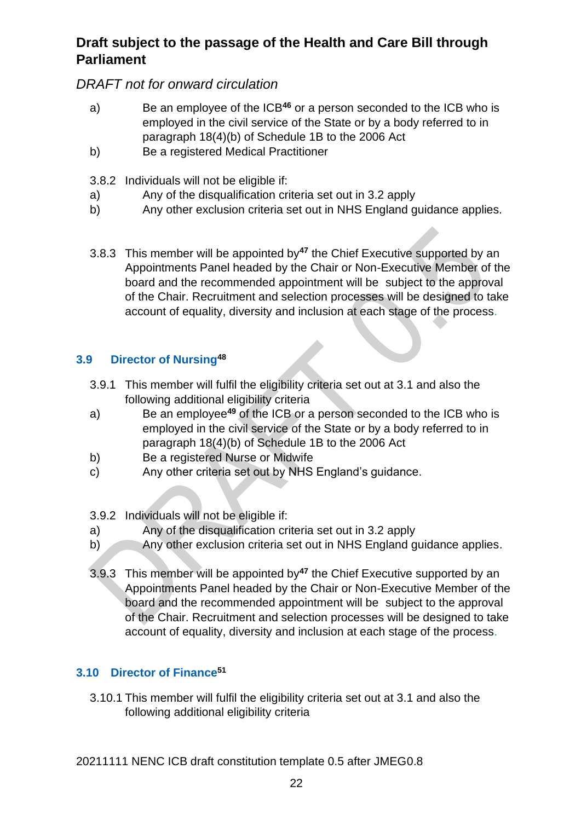## *DRAFT not for onward circulation*

- a) Be an employee of the ICB**<sup>46</sup>** or a person seconded to the ICB who is employed in the civil service of the State or by a body referred to in paragraph 18(4)(b) of Schedule 1B to the 2006 Act
- b) Be a registered Medical Practitioner
- 3.8.2 Individuals will not be eligible if:
- a) Any of the disqualification criteria set out in 3.2 apply
- b) Any other exclusion criteria set out in NHS England guidance applies.
- 3.8.3 This member will be appointed by**<sup>47</sup>** the Chief Executive supported by an Appointments Panel headed by the Chair or Non-Executive Member of the board and the recommended appointment will be subject to the approval of the Chair. Recruitment and selection processes will be designed to take account of equality, diversity and inclusion at each stage of the process.

#### <span id="page-21-0"></span>**3.9 Director of Nursing<sup>48</sup>**

- 3.9.1 This member will fulfil the eligibility criteria set out at 3.1 and also the following additional eligibility criteria
- a) Be an employee**<sup>49</sup>** of the ICB or a person seconded to the ICB who is employed in the civil service of the State or by a body referred to in paragraph 18(4)(b) of Schedule 1B to the 2006 Act
- b) Be a registered Nurse or Midwife
- c) Any other criteria set out by NHS England's guidance.

3.9.2 Individuals will not be eligible if:

- a) Any of the disqualification criteria set out in 3.2 apply
- b) Any other exclusion criteria set out in NHS England guidance applies.
- 3.9.3 This member will be appointed by**<sup>47</sup>** the Chief Executive supported by an Appointments Panel headed by the Chair or Non-Executive Member of the board and the recommended appointment will be subject to the approval of the Chair. Recruitment and selection processes will be designed to take account of equality, diversity and inclusion at each stage of the process.

#### <span id="page-21-1"></span>**3.10 Director of Finance<sup>51</sup>**

3.10.1 This member will fulfil the eligibility criteria set out at 3.1 and also the following additional eligibility criteria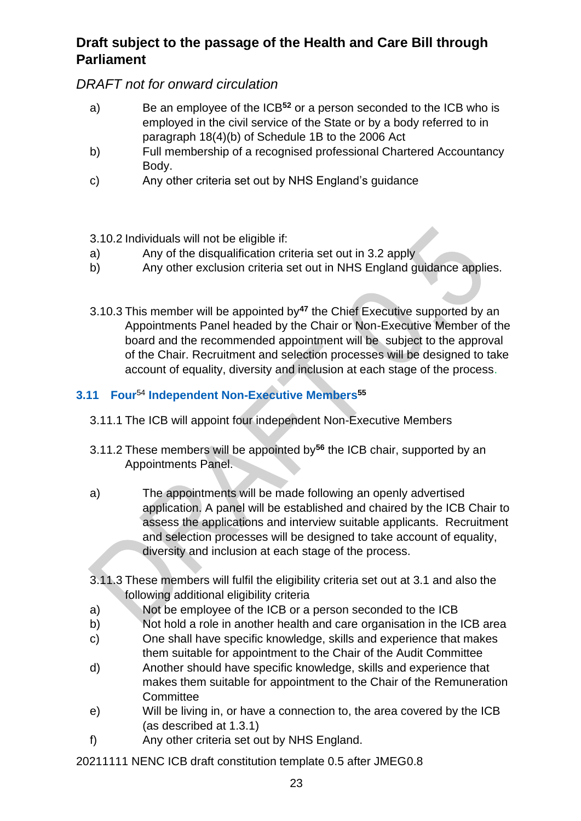## *DRAFT not for onward circulation*

- a) Be an employee of the ICB**<sup>52</sup>** or a person seconded to the ICB who is employed in the civil service of the State or by a body referred to in paragraph 18(4)(b) of Schedule 1B to the 2006 Act
- b) Full membership of a recognised professional Chartered Accountancy Body.
- c) Any other criteria set out by NHS England's guidance

#### 3.10.2 Individuals will not be eligible if:

- a) Any of the disqualification criteria set out in 3.2 apply
- b) Any other exclusion criteria set out in NHS England guidance applies.
- 3.10.3 This member will be appointed by**<sup>47</sup>** the Chief Executive supported by an Appointments Panel headed by the Chair or Non-Executive Member of the board and the recommended appointment will be subject to the approval of the Chair. Recruitment and selection processes will be designed to take account of equality, diversity and inclusion at each stage of the process.

## <span id="page-22-0"></span>**3.11 Four**<sup>54</sup> **Independent Non-Executive Members<sup>55</sup>**

- 3.11.1 The ICB will appoint four independent Non-Executive Members
- 3.11.2 These members will be appointed by**<sup>56</sup>** the ICB chair, supported by an Appointments Panel.
- a) The appointments will be made following an openly advertised application. A panel will be established and chaired by the ICB Chair to assess the applications and interview suitable applicants. Recruitment and selection processes will be designed to take account of equality, diversity and inclusion at each stage of the process.
- 3.11.3 These members will fulfil the eligibility criteria set out at 3.1 and also the following additional eligibility criteria
- a) Not be employee of the ICB or a person seconded to the ICB
- b) Not hold a role in another health and care organisation in the ICB area
- c) One shall have specific knowledge, skills and experience that makes them suitable for appointment to the Chair of the Audit Committee
- d) Another should have specific knowledge, skills and experience that makes them suitable for appointment to the Chair of the Remuneration **Committee**
- e) Will be living in, or have a connection to, the area covered by the ICB (as described at 1.3.1)
- f) Any other criteria set out by NHS England.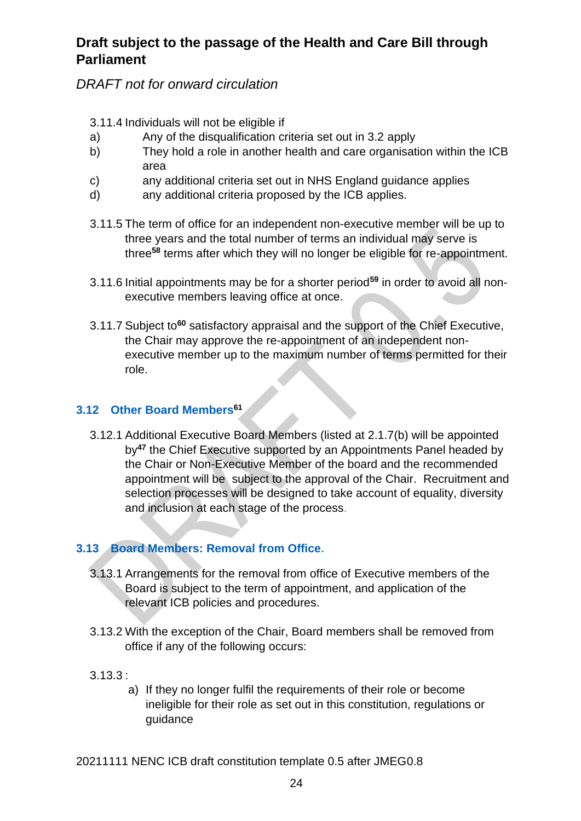## *DRAFT not for onward circulation*

#### 3.11.4 Individuals will not be eligible if

- a) Any of the disqualification criteria set out in 3.2 apply
- b) They hold a role in another health and care organisation within the ICB area
- c) any additional criteria set out in NHS England guidance applies
- d) any additional criteria proposed by the ICB applies.
- 3.11.5 The term of office for an independent non-executive member will be up to three years and the total number of terms an individual may serve is three**<sup>58</sup>** terms after which they will no longer be eligible for re-appointment.
- 3.11.6 Initial appointments may be for a shorter period**<sup>59</sup>** in order to avoid all nonexecutive members leaving office at once.
- 3.11.7 Subject to**<sup>60</sup>** satisfactory appraisal and the support of the Chief Executive, the Chair may approve the re-appointment of an independent nonexecutive member up to the maximum number of terms permitted for their role.

#### <span id="page-23-0"></span>**3.12 Other Board Members<sup>61</sup>**

3.12.1 Additional Executive Board Members (listed at 2.1.7(b) will be appointed by**<sup>47</sup>** the Chief Executive supported by an Appointments Panel headed by the Chair or Non-Executive Member of the board and the recommended appointment will be subject to the approval of the Chair. Recruitment and selection processes will be designed to take account of equality, diversity and inclusion at each stage of the process.

#### <span id="page-23-1"></span>**3.13 Board Members: Removal from Office.**

- 3.13.1 Arrangements for the removal from office of Executive members of the Board is subject to the term of appointment, and application of the relevant ICB policies and procedures.
- 3.13.2 With the exception of the Chair, Board members shall be removed from office if any of the following occurs:
- 3.13.3 :
	- a) If they no longer fulfil the requirements of their role or become ineligible for their role as set out in this constitution, regulations or guidance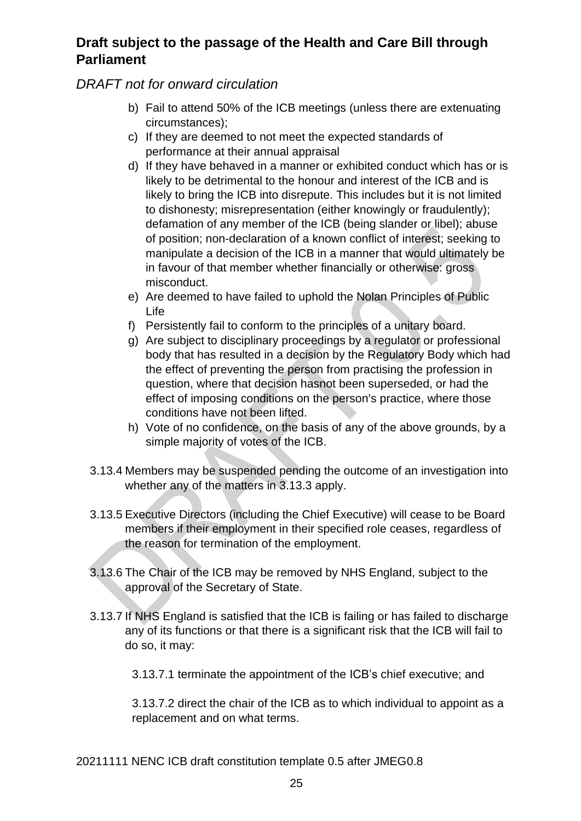#### *DRAFT not for onward circulation*

- b) Fail to attend 50% of the ICB meetings (unless there are extenuating circumstances);
- c) If they are deemed to not meet the expected standards of performance at their annual appraisal
- d) If they have behaved in a manner or exhibited conduct which has or is likely to be detrimental to the honour and interest of the ICB and is likely to bring the ICB into disrepute. This includes but it is not limited to dishonesty; misrepresentation (either knowingly or fraudulently); defamation of any member of the ICB (being slander or libel); abuse of position; non-declaration of a known conflict of interest; seeking to manipulate a decision of the ICB in a manner that would ultimately be in favour of that member whether financially or otherwise: gross misconduct.
- e) Are deemed to have failed to uphold the Nolan Principles of Public Life
- f) Persistently fail to conform to the principles of a unitary board.
- g) Are subject to disciplinary proceedings by a regulator or professional body that has resulted in a decision by the Regulatory Body which had the effect of preventing the person from practising the profession in question, where that decision hasnot been superseded, or had the effect of imposing conditions on the person's practice, where those conditions have not been lifted.
- h) Vote of no confidence, on the basis of any of the above grounds, by a simple majority of votes of the ICB.
- 3.13.4 Members may be suspended pending the outcome of an investigation into whether any of the matters in 3.13.3 apply.
- 3.13.5 Executive Directors (including the Chief Executive) will cease to be Board members if their employment in their specified role ceases, regardless of the reason for termination of the employment.
- 3.13.6 The Chair of the ICB may be removed by NHS England, subject to the approval of the Secretary of State.
- 3.13.7 If NHS England is satisfied that the ICB is failing or has failed to discharge any of its functions or that there is a significant risk that the ICB will fail to do so, it may:
	- 3.13.7.1 terminate the appointment of the ICB's chief executive; and

3.13.7.2 direct the chair of the ICB as to which individual to appoint as a replacement and on what terms.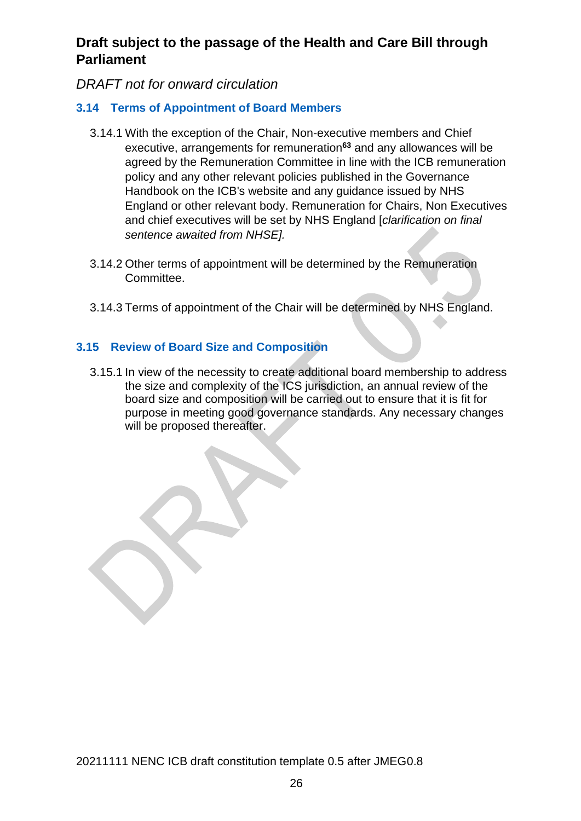#### *DRAFT not for onward circulation*

#### <span id="page-25-0"></span>**3.14 Terms of Appointment of Board Members**

- 3.14.1 With the exception of the Chair, Non-executive members and Chief executive, arrangements for remuneration**<sup>63</sup>** and any allowances will be agreed by the Remuneration Committee in line with the ICB remuneration policy and any other relevant policies published in the Governance Handbook on the ICB's website and any guidance issued by NHS England or other relevant body. Remuneration for Chairs, Non Executives and chief executives will be set by NHS England [*clarification on final sentence awaited from NHSE].*
- 3.14.2 Other terms of appointment will be determined by the Remuneration Committee.
- 3.14.3 Terms of appointment of the Chair will be determined by NHS England.

#### **3.15 Review of Board Size and Composition**

3.15.1 In view of the necessity to create additional board membership to address the size and complexity of the ICS jurisdiction, an annual review of the board size and composition will be carried out to ensure that it is fit for purpose in meeting good governance standards. Any necessary changes will be proposed thereafter.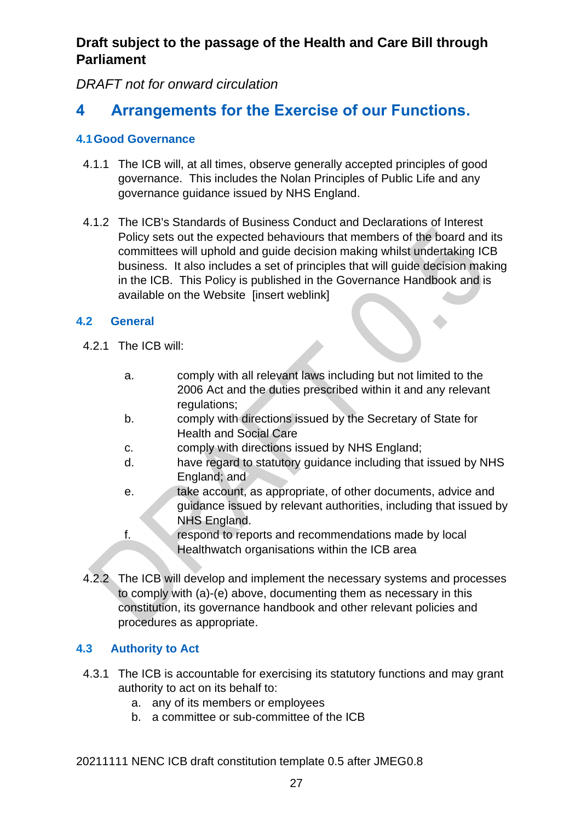*DRAFT not for onward circulation*

# <span id="page-26-0"></span>**4 Arrangements for the Exercise of our Functions.**

#### <span id="page-26-1"></span>**4.1Good Governance**

- 4.1.1 The ICB will, at all times, observe generally accepted principles of good governance. This includes the Nolan Principles of Public Life and any governance guidance issued by NHS England.
- 4.1.2 The ICB's Standards of Business Conduct and Declarations of Interest Policy sets out the expected behaviours that members of the board and its committees will uphold and guide decision making whilst undertaking ICB business. It also includes a set of principles that will guide decision making in the ICB. This Policy is published in the Governance Handbook and is available on the Website [insert weblink]

#### <span id="page-26-2"></span>**4.2 General**

- 4.2.1 The ICB will:
	- a. comply with all relevant laws including but not limited to the 2006 Act and the duties prescribed within it and any relevant regulations;
	- b. comply with directions issued by the Secretary of State for Health and Social Care
	- c. comply with directions issued by NHS England;
	- d. have regard to statutory guidance including that issued by NHS England; and
	- e. take account, as appropriate, of other documents, advice and guidance issued by relevant authorities, including that issued by NHS England.
	- f. respond to reports and recommendations made by local Healthwatch organisations within the ICB area
- 4.2.2 The ICB will develop and implement the necessary systems and processes to comply with (a)-(e) above, documenting them as necessary in this constitution, its governance handbook and other relevant policies and procedures as appropriate.

#### <span id="page-26-3"></span>**4.3 Authority to Act**

- 4.3.1 The ICB is accountable for exercising its statutory functions and may grant authority to act on its behalf to:
	- a. any of its members or employees
	- b. a committee or sub-committee of the ICB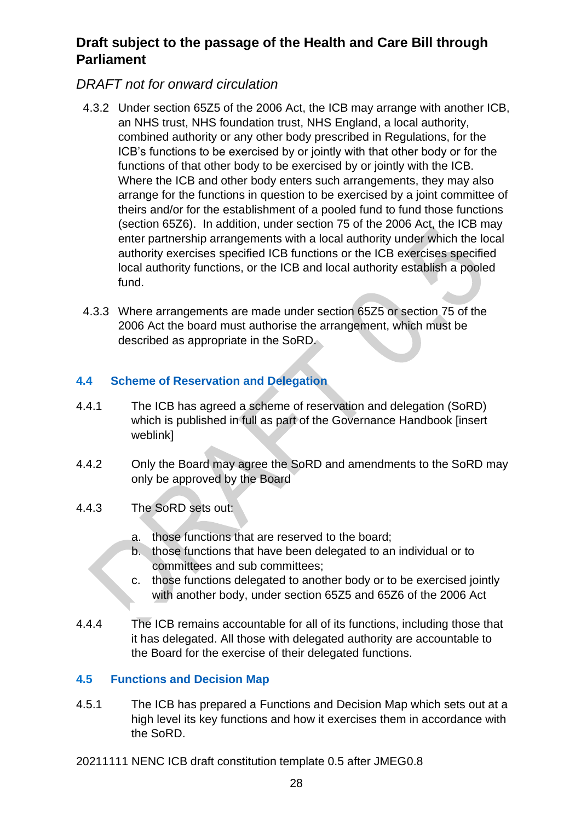#### *DRAFT not for onward circulation*

- 4.3.2 Under section 65Z5 of the 2006 Act, the ICB may arrange with another ICB, an NHS trust, NHS foundation trust, NHS England, a local authority, combined authority or any other body prescribed in Regulations, for the ICB's functions to be exercised by or jointly with that other body or for the functions of that other body to be exercised by or jointly with the ICB. Where the ICB and other body enters such arrangements, they may also arrange for the functions in question to be exercised by a joint committee of theirs and/or for the establishment of a pooled fund to fund those functions (section 65Z6). In addition, under section 75 of the 2006 Act, the ICB may enter partnership arrangements with a local authority under which the local authority exercises specified ICB functions or the ICB exercises specified local authority functions, or the ICB and local authority establish a pooled fund.
- 4.3.3 Where arrangements are made under section 65Z5 or section 75 of the 2006 Act the board must authorise the arrangement, which must be described as appropriate in the SoRD.

#### <span id="page-27-0"></span>**4.4 Scheme of Reservation and Delegation**

- 4.4.1 The ICB has agreed a scheme of reservation and delegation (SoRD) which is published in full as part of the Governance Handbook [insert weblink]
- 4.4.2 Only the Board may agree the SoRD and amendments to the SoRD may only be approved by the Board
- 4.4.3 The SoRD sets out:
	- a. those functions that are reserved to the board;
	- b. those functions that have been delegated to an individual or to committees and sub committees;
	- c. those functions delegated to another body or to be exercised jointly with another body, under section 65Z5 and 65Z6 of the 2006 Act
- 4.4.4 The ICB remains accountable for all of its functions, including those that it has delegated. All those with delegated authority are accountable to the Board for the exercise of their delegated functions.

#### <span id="page-27-1"></span>**4.5 Functions and Decision Map**

4.5.1 The ICB has prepared a Functions and Decision Map which sets out at a high level its key functions and how it exercises them in accordance with the SoRD.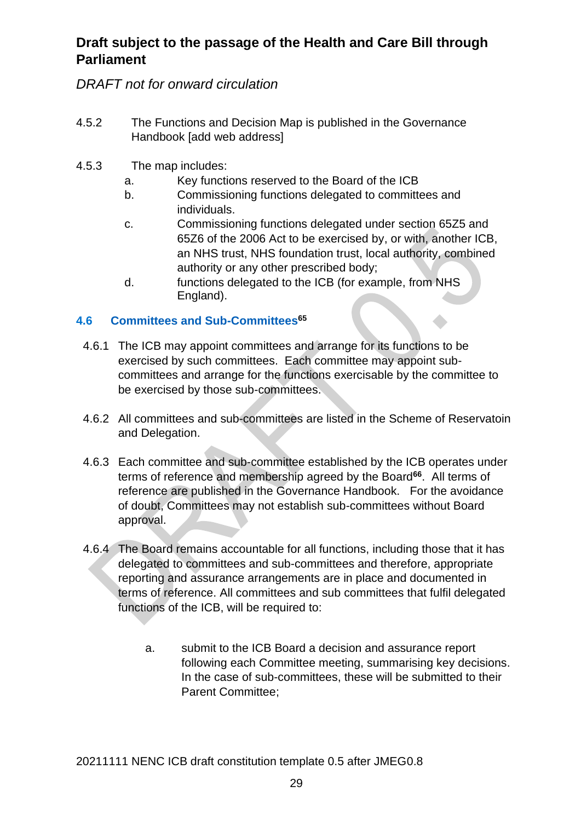## *DRAFT not for onward circulation*

- 4.5.2 The Functions and Decision Map is published in the Governance Handbook [add web address]
- 4.5.3 The map includes:
	- a. Key functions reserved to the Board of the ICB
	- b. Commissioning functions delegated to committees and individuals.
	- c. Commissioning functions delegated under section 65Z5 and 65Z6 of the 2006 Act to be exercised by, or with, another ICB, an NHS trust, NHS foundation trust, local authority, combined authority or any other prescribed body;
	- d. functions delegated to the ICB (for example, from NHS England).

#### <span id="page-28-0"></span>**4.6 Committees and Sub-Committees<sup>65</sup>**

- 4.6.1 The ICB may appoint committees and arrange for its functions to be exercised by such committees. Each committee may appoint subcommittees and arrange for the functions exercisable by the committee to be exercised by those sub-committees.
- 4.6.2 All committees and sub-committees are listed in the Scheme of Reservatoin and Delegation.
- 4.6.3 Each committee and sub-committee established by the ICB operates under terms of reference and membership agreed by the Board**<sup>66</sup>**. All terms of reference are published in the Governance Handbook. For the avoidance of doubt, Committees may not establish sub-committees without Board approval.
- 4.6.4 The Board remains accountable for all functions, including those that it has delegated to committees and sub-committees and therefore, appropriate reporting and assurance arrangements are in place and documented in terms of reference. All committees and sub committees that fulfil delegated functions of the ICB, will be required to:
	- a. submit to the ICB Board a decision and assurance report following each Committee meeting, summarising key decisions. In the case of sub-committees, these will be submitted to their Parent Committee;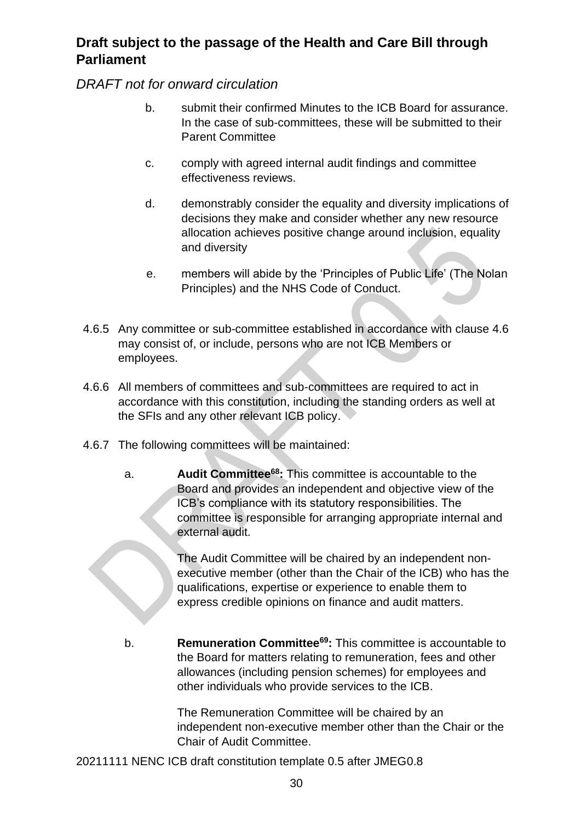*DRAFT not for onward circulation*

- b. submit their confirmed Minutes to the ICB Board for assurance. In the case of sub-committees, these will be submitted to their Parent Committee
- c. comply with agreed internal audit findings and committee effectiveness reviews.
- d. demonstrably consider the equality and diversity implications of decisions they make and consider whether any new resource allocation achieves positive change around inclusion, equality and diversity
- e. members will abide by the 'Principles of Public Life' (The Nolan Principles) and the NHS Code of Conduct.
- 4.6.5 Any committee or sub-committee established in accordance with clause 4.6 may consist of, or include, persons who are not ICB Members or employees.
- 4.6.6 All members of committees and sub-committees are required to act in accordance with this constitution, including the standing orders as well at the SFIs and any other relevant ICB policy.
- 4.6.7 The following committees will be maintained:
	- a. **Audit Committee<sup>68</sup>:** This committee is accountable to the Board and provides an independent and objective view of the ICB's compliance with its statutory responsibilities. The committee is responsible for arranging appropriate internal and external audit.

The Audit Committee will be chaired by an independent nonexecutive member (other than the Chair of the ICB) who has the qualifications, expertise or experience to enable them to express credible opinions on finance and audit matters.

b. **Remuneration Committee<sup>69</sup>:** This committee is accountable to the Board for matters relating to remuneration, fees and other allowances (including pension schemes) for employees and other individuals who provide services to the ICB.

> The Remuneration Committee will be chaired by an independent non-executive member other than the Chair or the Chair of Audit Committee.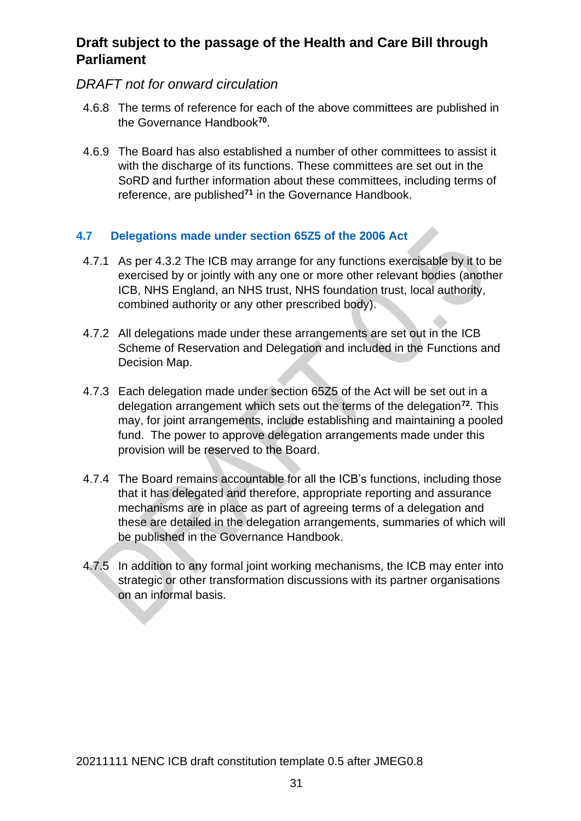#### *DRAFT not for onward circulation*

- 4.6.8 The terms of reference for each of the above committees are published in the Governance Handbook**<sup>70</sup>** .
- 4.6.9 The Board has also established a number of other committees to assist it with the discharge of its functions. These committees are set out in the SoRD and further information about these committees, including terms of reference, are published**<sup>71</sup>** in the Governance Handbook.

#### <span id="page-30-0"></span>**4.7 Delegations made under section 65Z5 of the 2006 Act**

- 4.7.1 As per 4.3.2 The ICB may arrange for any functions exercisable by it to be exercised by or jointly with any one or more other relevant bodies (another ICB, NHS England, an NHS trust, NHS foundation trust, local authority, combined authority or any other prescribed body).
- 4.7.2 All delegations made under these arrangements are set out in the ICB Scheme of Reservation and Delegation and included in the Functions and Decision Map.
- 4.7.3 Each delegation made under section 65Z5 of the Act will be set out in a delegation arrangement which sets out the terms of the delegation**<sup>72</sup>** . This may, for joint arrangements, include establishing and maintaining a pooled fund. The power to approve delegation arrangements made under this provision will be reserved to the Board.
- 4.7.4 The Board remains accountable for all the ICB's functions, including those that it has delegated and therefore, appropriate reporting and assurance mechanisms are in place as part of agreeing terms of a delegation and these are detailed in the delegation arrangements, summaries of which will be published in the Governance Handbook.
- 4.7.5 In addition to any formal joint working mechanisms, the ICB may enter into strategic or other transformation discussions with its partner organisations on an informal basis.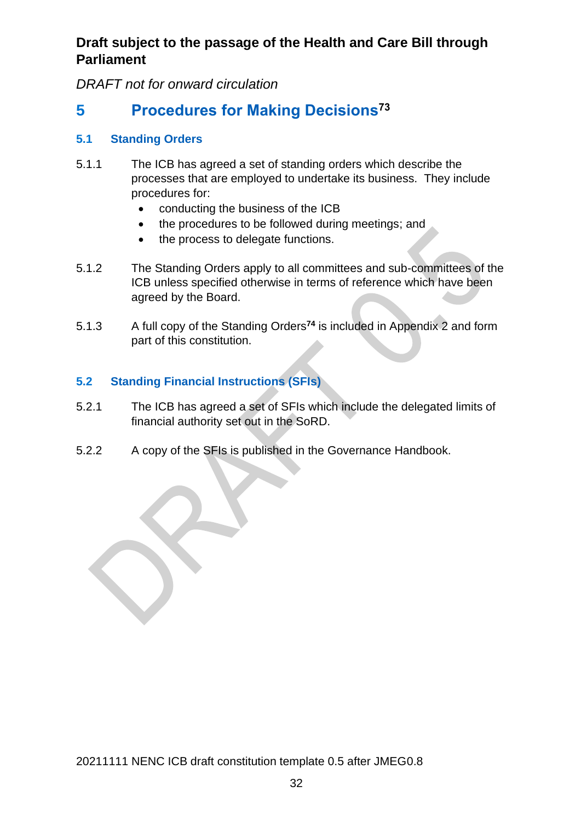*DRAFT not for onward circulation*

# <span id="page-31-0"></span>**5 Procedures for Making Decisions<sup>73</sup>**

#### <span id="page-31-1"></span>**5.1 Standing Orders**

- 5.1.1 The ICB has agreed a set of standing orders which describe the processes that are employed to undertake its business. They include procedures for:
	- conducting the business of the ICB
	- the procedures to be followed during meetings; and
	- the process to delegate functions.
- 5.1.2 The Standing Orders apply to all committees and sub-committees of the ICB unless specified otherwise in terms of reference which have been agreed by the Board.
- 5.1.3 A full copy of the Standing Orders**<sup>74</sup>** is included in Appendix 2 and form part of this constitution.

#### <span id="page-31-2"></span>**5.2 Standing Financial Instructions (SFIs)**

- 5.2.1 The ICB has agreed a set of SFIs which include the delegated limits of financial authority set out in the SoRD.
- 5.2.2 A copy of the SFIs is published in the Governance Handbook.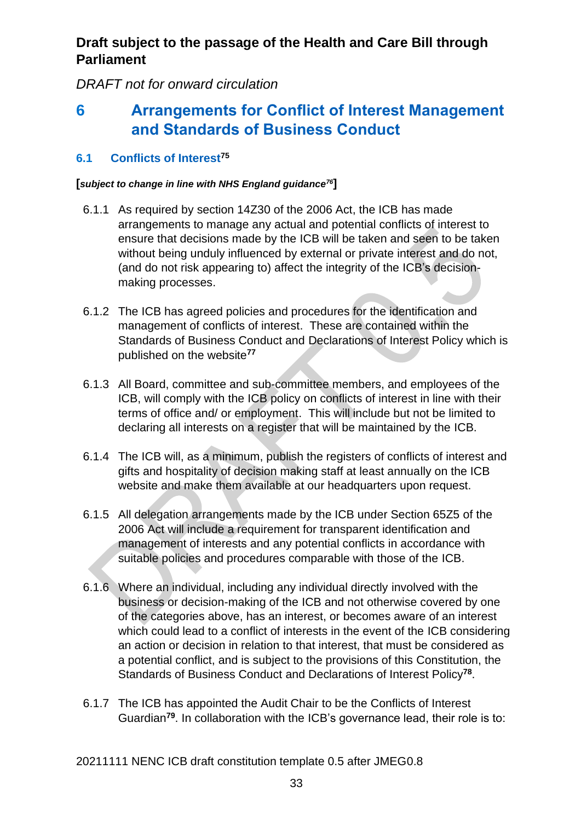*DRAFT not for onward circulation*

# <span id="page-32-0"></span>**6 Arrangements for Conflict of Interest Management and Standards of Business Conduct**

#### <span id="page-32-1"></span>**6.1 Conflicts of Interest<sup>75</sup>**

#### **[***subject to change in line with NHS England guidance<sup>76</sup>***]**

- 6.1.1 As required by section 14Z30 of the 2006 Act, the ICB has made arrangements to manage any actual and potential conflicts of interest to ensure that decisions made by the ICB will be taken and seen to be taken without being unduly influenced by external or private interest and do not, (and do not risk appearing to) affect the integrity of the ICB's decisionmaking processes.
- 6.1.2 The ICB has agreed policies and procedures for the identification and management of conflicts of interest. These are contained within the Standards of Business Conduct and Declarations of Interest Policy which is published on the website**<sup>77</sup>**
- 6.1.3 All Board, committee and sub-committee members, and employees of the ICB, will comply with the ICB policy on conflicts of interest in line with their terms of office and/ or employment. This will include but not be limited to declaring all interests on a register that will be maintained by the ICB.
- 6.1.4 The ICB will, as a minimum, publish the registers of conflicts of interest and gifts and hospitality of decision making staff at least annually on the ICB website and make them available at our headquarters upon request.
- 6.1.5 All delegation arrangements made by the ICB under Section 65Z5 of the 2006 Act will include a requirement for transparent identification and management of interests and any potential conflicts in accordance with suitable policies and procedures comparable with those of the ICB.
- 6.1.6 Where an individual, including any individual directly involved with the business or decision-making of the ICB and not otherwise covered by one of the categories above, has an interest, or becomes aware of an interest which could lead to a conflict of interests in the event of the ICB considering an action or decision in relation to that interest, that must be considered as a potential conflict, and is subject to the provisions of this Constitution, the Standards of Business Conduct and Declarations of Interest Policy**<sup>78</sup>** .
- 6.1.7 The ICB has appointed the Audit Chair to be the Conflicts of Interest Guardian**79**. In collaboration with the ICB's governance lead, their role is to: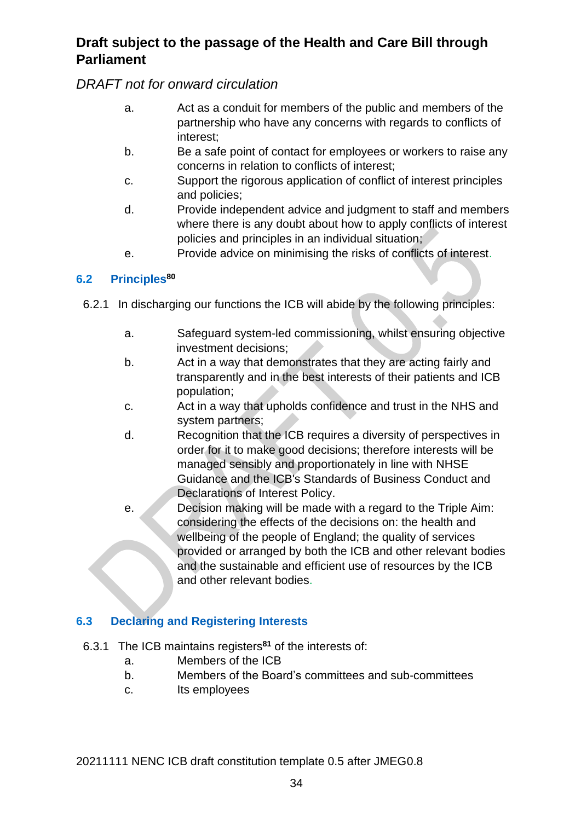*DRAFT not for onward circulation*

- a. Act as a conduit for members of the public and members of the partnership who have any concerns with regards to conflicts of interest;
- b. Be a safe point of contact for employees or workers to raise any concerns in relation to conflicts of interest;
- c. Support the rigorous application of conflict of interest principles and policies;
- d. Provide independent advice and judgment to staff and members where there is any doubt about how to apply conflicts of interest policies and principles in an individual situation;
- e. Provide advice on minimising the risks of conflicts of interest.

#### <span id="page-33-0"></span>**6.2 Principles<sup>80</sup>**

- 6.2.1 In discharging our functions the ICB will abide by the following principles:
	- a. Safeguard system-led commissioning, whilst ensuring objective investment decisions;
	- b. Act in a way that demonstrates that they are acting fairly and transparently and in the best interests of their patients and ICB population;
	- c. Act in a way that upholds confidence and trust in the NHS and system partners;
	- d. Recognition that the ICB requires a diversity of perspectives in order for it to make good decisions; therefore interests will be managed sensibly and proportionately in line with NHSE Guidance and the ICB's Standards of Business Conduct and Declarations of Interest Policy.
	- e. Decision making will be made with a regard to the Triple Aim: considering the effects of the decisions on: the health and wellbeing of the people of England; the quality of services provided or arranged by both the ICB and other relevant bodies and the sustainable and efficient use of resources by the ICB and other relevant bodies.

#### <span id="page-33-1"></span>**6.3 Declaring and Registering Interests**

- 6.3.1 The ICB maintains registers**<sup>81</sup>** of the interests of:
	- a. Members of the ICB
	- b. Members of the Board's committees and sub-committees
	- c. Its employees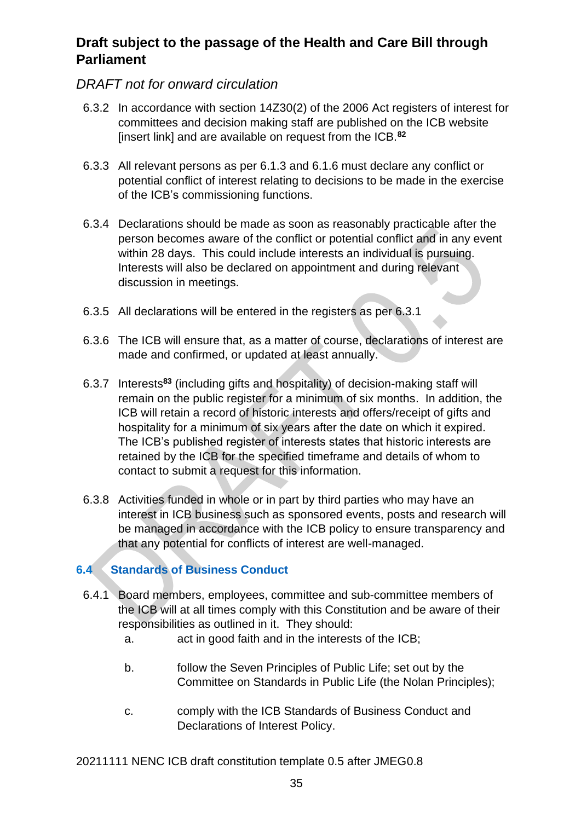#### *DRAFT not for onward circulation*

- 6.3.2 In accordance with section 14Z30(2) of the 2006 Act registers of interest for committees and decision making staff are published on the ICB website [insert link] and are available on request from the ICB.**<sup>82</sup>**
- 6.3.3 All relevant persons as per 6.1.3 and 6.1.6 must declare any conflict or potential conflict of interest relating to decisions to be made in the exercise of the ICB's commissioning functions.
- 6.3.4 Declarations should be made as soon as reasonably practicable after the person becomes aware of the conflict or potential conflict and in any event within 28 days. This could include interests an individual is pursuing. Interests will also be declared on appointment and during relevant discussion in meetings.
- 6.3.5 All declarations will be entered in the registers as per 6.3.1
- 6.3.6 The ICB will ensure that, as a matter of course, declarations of interest are made and confirmed, or updated at least annually.
- 6.3.7 Interests**<sup>83</sup>** (including gifts and hospitality) of decision-making staff will remain on the public register for a minimum of six months. In addition, the ICB will retain a record of historic interests and offers/receipt of gifts and hospitality for a minimum of six years after the date on which it expired. The ICB's published register of interests states that historic interests are retained by the ICB for the specified timeframe and details of whom to contact to submit a request for this information.
- 6.3.8 Activities funded in whole or in part by third parties who may have an interest in ICB business such as sponsored events, posts and research will be managed in accordance with the ICB policy to ensure transparency and that any potential for conflicts of interest are well-managed.

#### <span id="page-34-0"></span>**6.4 Standards of Business Conduct**

- 6.4.1 Board members, employees, committee and sub-committee members of the ICB will at all times comply with this Constitution and be aware of their responsibilities as outlined in it. They should:
	- a. act in good faith and in the interests of the ICB;
	- b. follow the Seven Principles of Public Life; set out by the Committee on Standards in Public Life (the Nolan Principles);
	- c. comply with the ICB Standards of Business Conduct and Declarations of Interest Policy.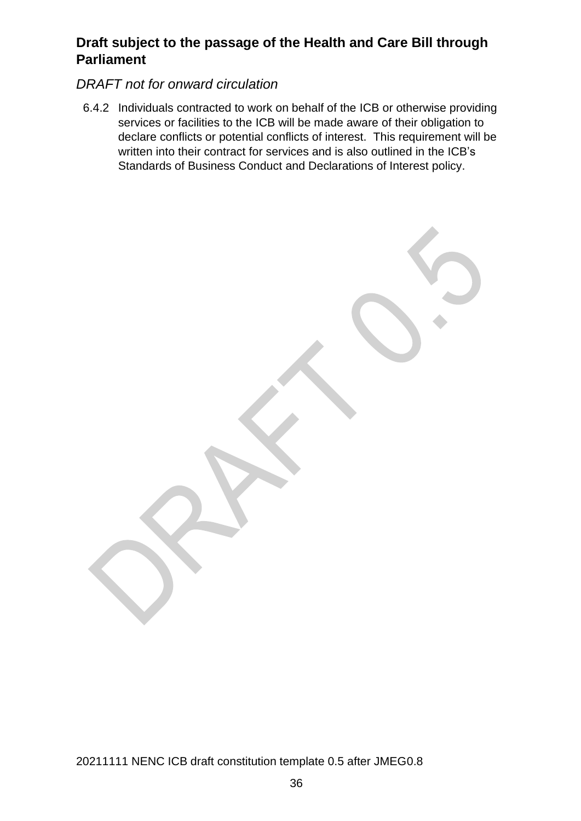#### *DRAFT not for onward circulation*

6.4.2 Individuals contracted to work on behalf of the ICB or otherwise providing services or facilities to the ICB will be made aware of their obligation to declare conflicts or potential conflicts of interest. This requirement will be written into their contract for services and is also outlined in the ICB's Standards of Business Conduct and Declarations of Interest policy.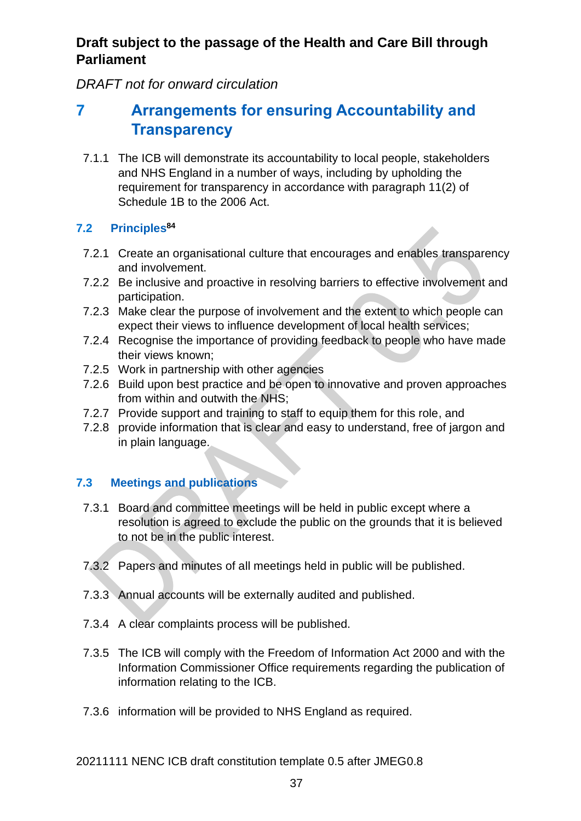*DRAFT not for onward circulation*

# <span id="page-36-0"></span>**7 Arrangements for ensuring Accountability and Transparency**

7.1.1 The ICB will demonstrate its accountability to local people, stakeholders and NHS England in a number of ways, including by upholding the requirement for transparency in accordance with paragraph 11(2) of Schedule 1B to the 2006 Act.

## <span id="page-36-1"></span>**7.2 Principles 84**

- 7.2.1 Create an organisational culture that encourages and enables transparency and involvement.
- 7.2.2 Be inclusive and proactive in resolving barriers to effective involvement and participation.
- 7.2.3 Make clear the purpose of involvement and the extent to which people can expect their views to influence development of local health services;
- 7.2.4 Recognise the importance of providing feedback to people who have made their views known;
- 7.2.5 Work in partnership with other agencies
- 7.2.6 Build upon best practice and be open to innovative and proven approaches from within and outwith the NHS;
- 7.2.7 Provide support and training to staff to equip them for this role, and
- 7.2.8 provide information that is clear and easy to understand, free of jargon and in plain language.

## <span id="page-36-2"></span>**7.3 Meetings and publications**

- 7.3.1 Board and committee meetings will be held in public except where a resolution is agreed to exclude the public on the grounds that it is believed to not be in the public interest.
- 7.3.2 Papers and minutes of all meetings held in public will be published.
- 7.3.3 Annual accounts will be externally audited and published.
- 7.3.4 A clear complaints process will be published.
- 7.3.5 The ICB will comply with the Freedom of Information Act 2000 and with the Information Commissioner Office requirements regarding the publication of information relating to the ICB.
- 7.3.6 information will be provided to NHS England as required.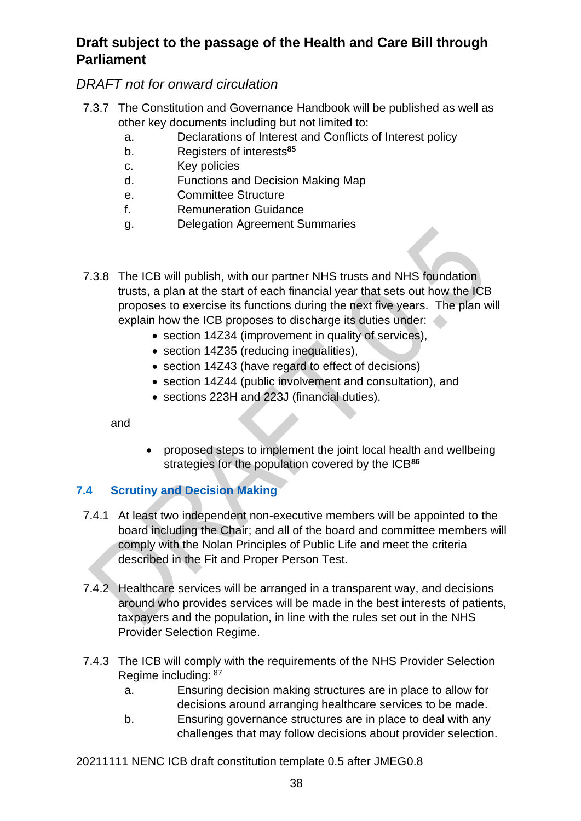## *DRAFT not for onward circulation*

- 7.3.7 The Constitution and Governance Handbook will be published as well as other key documents including but not limited to:
	- a. Declarations of Interest and Conflicts of Interest policy
	- b. Registers of interests**<sup>85</sup>**
	- c. Key policies
	- d. Functions and Decision Making Map
	- e. Committee Structure
	- f. Remuneration Guidance
	- g. Delegation Agreement Summaries
- 7.3.8 The ICB will publish, with our partner NHS trusts and NHS foundation trusts, a plan at the start of each financial year that sets out how the ICB proposes to exercise its functions during the next five years. The plan will explain how the ICB proposes to discharge its duties under:
	- section 14Z34 (improvement in quality of services),
	- section 14Z35 (reducing inequalities),
	- section 14Z43 (have regard to effect of decisions)
	- section 14Z44 (public involvement and consultation), and
	- sections 223H and 223J (financial duties).

and

• proposed steps to implement the joint local health and wellbeing strategies for the population covered by the ICB**<sup>86</sup>**

#### <span id="page-37-0"></span>**7.4 Scrutiny and Decision Making**

- 7.4.1 At least two independent non-executive members will be appointed to the board including the Chair; and all of the board and committee members will comply with the Nolan Principles of Public Life and meet the criteria described in the Fit and Proper Person Test.
- 7.4.2 Healthcare services will be arranged in a transparent way, and decisions around who provides services will be made in the best interests of patients, taxpayers and the population, in line with the rules set out in the NHS Provider Selection Regime.
- 7.4.3 The ICB will comply with the requirements of the NHS Provider Selection Regime including: 87
	- a. Ensuring decision making structures are in place to allow for decisions around arranging healthcare services to be made.
	- b. Ensuring governance structures are in place to deal with any challenges that may follow decisions about provider selection.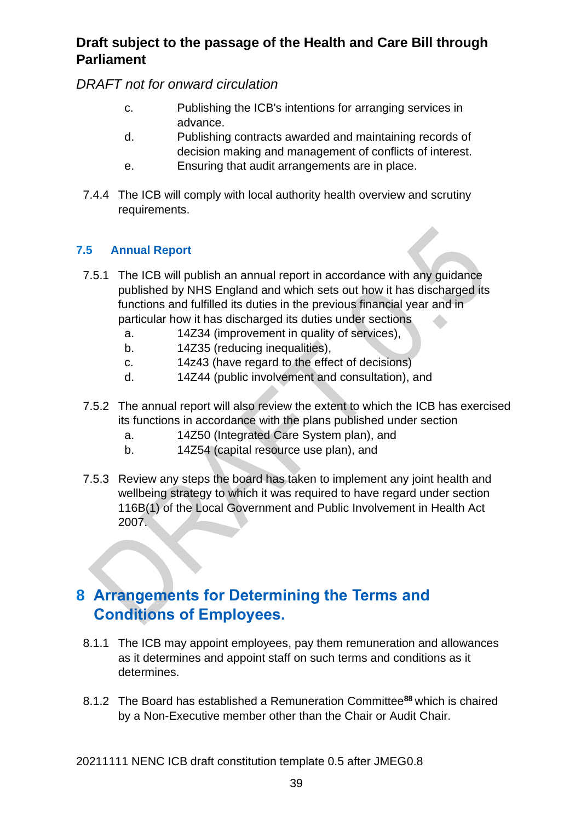*DRAFT not for onward circulation*

- c. Publishing the ICB's intentions for arranging services in advance.
- d. Publishing contracts awarded and maintaining records of decision making and management of conflicts of interest.
- e. Ensuring that audit arrangements are in place.
- 7.4.4 The ICB will comply with local authority health overview and scrutiny requirements.

#### <span id="page-38-0"></span>**7.5 Annual Report**

- 7.5.1 The ICB will publish an annual report in accordance with any guidance published by NHS England and which sets out how it has discharged its functions and fulfilled its duties in the previous financial year and in particular how it has discharged its duties under sections
	- a. 14Z34 (improvement in quality of services),
	- b. 14Z35 (reducing inequalities),
	- c. 14z43 (have regard to the effect of decisions)
	- d. 14Z44 (public involvement and consultation), and
- 7.5.2 The annual report will also review the extent to which the ICB has exercised its functions in accordance with the plans published under section
	- a. 14Z50 (Integrated Care System plan), and
	- b. 14Z54 (capital resource use plan), and
- 7.5.3 Review any steps the board has taken to implement any joint health and wellbeing strategy to which it was required to have regard under section 116B(1) of the Local Government and Public Involvement in Health Act 2007.

# <span id="page-38-1"></span>**8 Arrangements for Determining the Terms and Conditions of Employees.**

- 8.1.1 The ICB may appoint employees, pay them remuneration and allowances as it determines and appoint staff on such terms and conditions as it determines.
- 8.1.2 The Board has established a Remuneration Committee**<sup>88</sup>** which is chaired by a Non-Executive member other than the Chair or Audit Chair.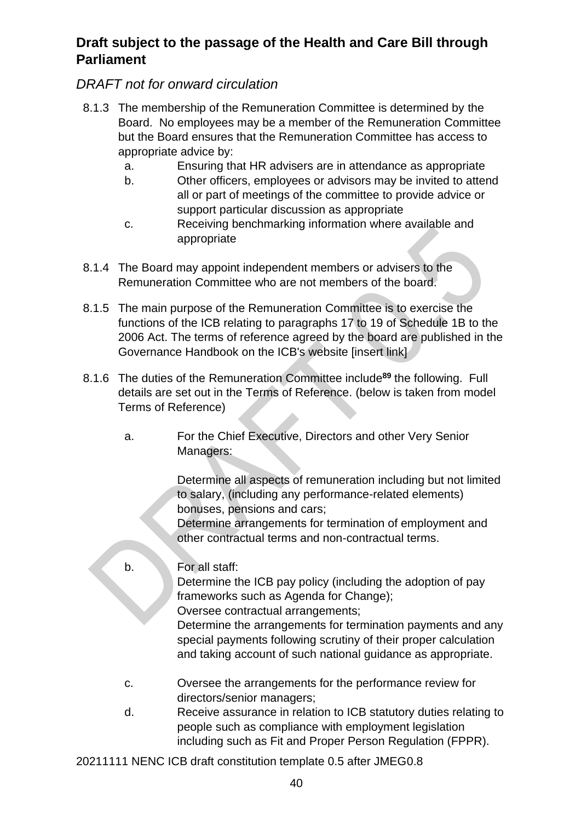## *DRAFT not for onward circulation*

- 8.1.3 The membership of the Remuneration Committee is determined by the Board. No employees may be a member of the Remuneration Committee but the Board ensures that the Remuneration Committee has access to appropriate advice by:
	- a. Ensuring that HR advisers are in attendance as appropriate
	- b. Other officers, employees or advisors may be invited to attend all or part of meetings of the committee to provide advice or support particular discussion as appropriate
	- c. Receiving benchmarking information where available and appropriate
- 8.1.4 The Board may appoint independent members or advisers to the Remuneration Committee who are not members of the board.
- 8.1.5 The main purpose of the Remuneration Committee is to exercise the functions of the ICB relating to paragraphs 17 to 19 of Schedule 1B to the 2006 Act. The terms of reference agreed by the board are published in the Governance Handbook on the ICB's website [insert link]
- 8.1.6 The duties of the Remuneration Committee include**<sup>89</sup>** the following. Full details are set out in the Terms of Reference. (below is taken from model Terms of Reference)
	- a. For the Chief Executive, Directors and other Very Senior Managers:

Determine all aspects of remuneration including but not limited to salary, (including any performance-related elements) bonuses, pensions and cars;

Determine arrangements for termination of employment and other contractual terms and non-contractual terms.

b. For all staff:

Determine the ICB pay policy (including the adoption of pay frameworks such as Agenda for Change); Oversee contractual arrangements;

Determine the arrangements for termination payments and any special payments following scrutiny of their proper calculation and taking account of such national guidance as appropriate.

- c. Oversee the arrangements for the performance review for directors/senior managers;
- d. Receive assurance in relation to ICB statutory duties relating to people such as compliance with employment legislation including such as Fit and Proper Person Regulation (FPPR).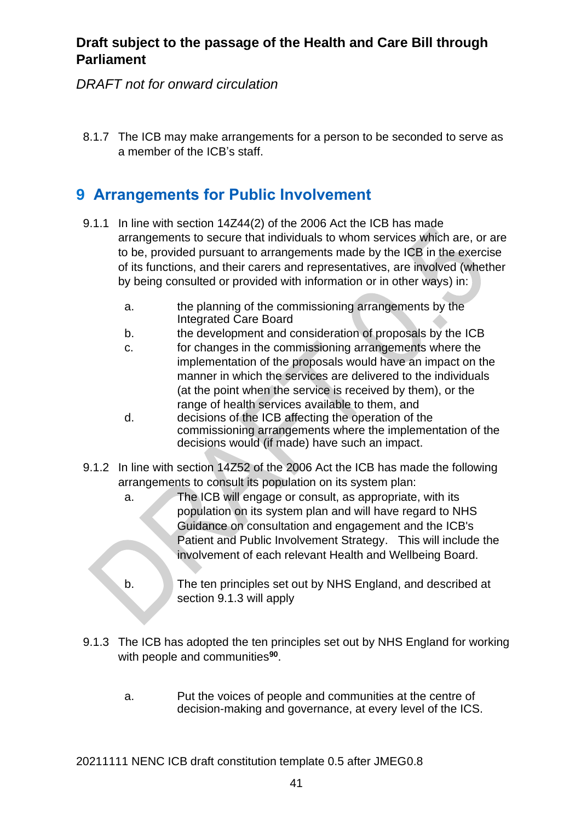*DRAFT not for onward circulation*

8.1.7 The ICB may make arrangements for a person to be seconded to serve as a member of the ICB's staff.

# <span id="page-40-0"></span>**9 Arrangements for Public Involvement**

- 9.1.1 In line with section 14Z44(2) of the 2006 Act the ICB has made arrangements to secure that individuals to whom services which are, or are to be, provided pursuant to arrangements made by the ICB in the exercise of its functions, and their carers and representatives, are involved (whether by being consulted or provided with information or in other ways) in:
	- a. the planning of the commissioning arrangements by the Integrated Care Board
	- b. the development and consideration of proposals by the ICB
	- c. for changes in the commissioning arrangements where the implementation of the proposals would have an impact on the manner in which the services are delivered to the individuals (at the point when the service is received by them), or the range of health services available to them, and
	- d. decisions of the ICB affecting the operation of the commissioning arrangements where the implementation of the decisions would (if made) have such an impact.
- 9.1.2 In line with section 14Z52 of the 2006 Act the ICB has made the following arrangements to consult its population on its system plan:
	- a. The ICB will engage or consult, as appropriate, with its population on its system plan and will have regard to NHS Guidance on consultation and engagement and the ICB's Patient and Public Involvement Strategy. This will include the involvement of each relevant Health and Wellbeing Board.
	- b. The ten principles set out by NHS England, and described at section 9.1.3 will apply
- 9.1.3 The ICB has adopted the ten principles set out by NHS England for working with people and communities**<sup>90</sup>** .
	- a. Put the voices of people and communities at the centre of decision-making and governance, at every level of the ICS.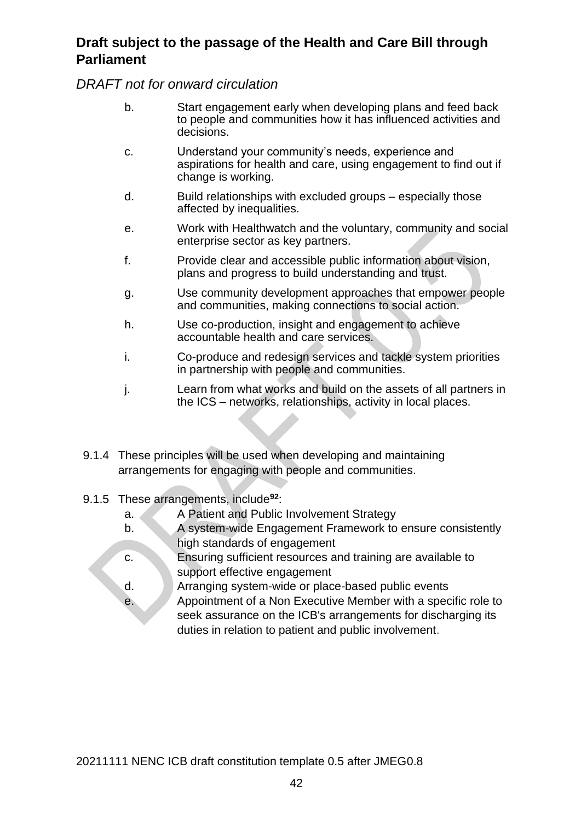*DRAFT not for onward circulation*

- b. Start engagement early when developing plans and feed back to people and communities how it has influenced activities and decisions.
- c. Understand your community's needs, experience and aspirations for health and care, using engagement to find out if change is working.
- d. Build relationships with excluded groups especially those affected by inequalities.
- e. Work with Healthwatch and the voluntary, community and social enterprise sector as key partners.
- f. Provide clear and accessible public information about vision, plans and progress to build understanding and trust.
- g. Use community development approaches that empower people and communities, making connections to social action.
- h. Use co-production, insight and engagement to achieve accountable health and care services.
- i. Co-produce and redesign services and tackle system priorities in partnership with people and communities.
- j. Learn from what works and build on the assets of all partners in the ICS – networks, relationships, activity in local places.
- 9.1.4 These principles will be used when developing and maintaining arrangements for engaging with people and communities.
- 9.1.5 These arrangements, include**<sup>92</sup>** :
	- a. A Patient and Public Involvement Strategy
	- b. A system-wide Engagement Framework to ensure consistently high standards of engagement
	- c. Ensuring sufficient resources and training are available to support effective engagement
	- d. Arranging system-wide or place-based public events e. Appointment of a Non Executive Member with a specific role to seek assurance on the ICB's arrangements for discharging its duties in relation to patient and public involvement.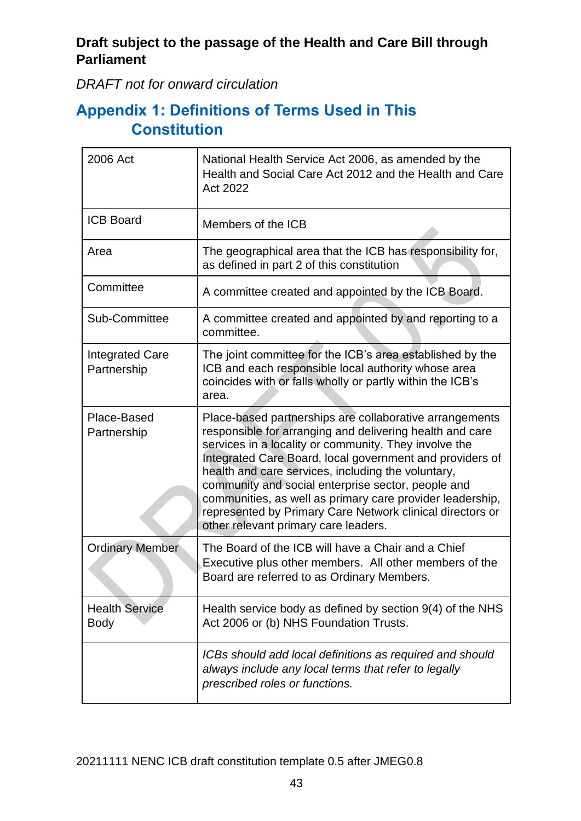*DRAFT not for onward circulation*

# <span id="page-42-0"></span>**Appendix 1: Definitions of Terms Used in This Constitution**

| 2006 Act                              | National Health Service Act 2006, as amended by the<br>Health and Social Care Act 2012 and the Health and Care<br>Act 2022                                                                                                                                                                                                                                                                                                                                                                                             |
|---------------------------------------|------------------------------------------------------------------------------------------------------------------------------------------------------------------------------------------------------------------------------------------------------------------------------------------------------------------------------------------------------------------------------------------------------------------------------------------------------------------------------------------------------------------------|
| <b>ICB Board</b>                      | Members of the ICB                                                                                                                                                                                                                                                                                                                                                                                                                                                                                                     |
| Area                                  | The geographical area that the ICB has responsibility for,<br>as defined in part 2 of this constitution                                                                                                                                                                                                                                                                                                                                                                                                                |
| Committee                             | A committee created and appointed by the ICB Board.                                                                                                                                                                                                                                                                                                                                                                                                                                                                    |
| Sub-Committee                         | A committee created and appointed by and reporting to a<br>committee.                                                                                                                                                                                                                                                                                                                                                                                                                                                  |
| <b>Integrated Care</b><br>Partnership | The joint committee for the ICB's area established by the<br>ICB and each responsible local authority whose area<br>coincides with or falls wholly or partly within the ICB's<br>area.                                                                                                                                                                                                                                                                                                                                 |
| Place-Based<br>Partnership            | Place-based partnerships are collaborative arrangements<br>responsible for arranging and delivering health and care<br>services in a locality or community. They involve the<br>Integrated Care Board, local government and providers of<br>health and care services, including the voluntary,<br>community and social enterprise sector, people and<br>communities, as well as primary care provider leadership,<br>represented by Primary Care Network clinical directors or<br>other relevant primary care leaders. |
| <b>Ordinary Member</b>                | The Board of the ICB will have a Chair and a Chief<br>Executive plus other members. All other members of the<br>Board are referred to as Ordinary Members.                                                                                                                                                                                                                                                                                                                                                             |
| <b>Health Service</b><br><b>Body</b>  | Health service body as defined by section 9(4) of the NHS<br>Act 2006 or (b) NHS Foundation Trusts.                                                                                                                                                                                                                                                                                                                                                                                                                    |
|                                       | ICBs should add local definitions as required and should<br>always include any local terms that refer to legally<br>prescribed roles or functions.                                                                                                                                                                                                                                                                                                                                                                     |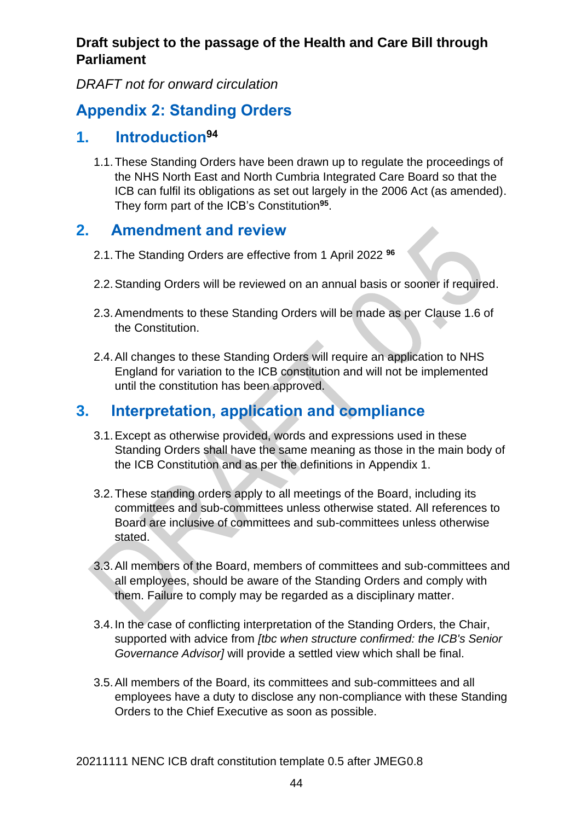*DRAFT not for onward circulation*

# <span id="page-43-0"></span>**Appendix 2: Standing Orders**

# **1. Introduction<sup>94</sup>**

<span id="page-43-1"></span>1.1.These Standing Orders have been drawn up to regulate the proceedings of the NHS North East and North Cumbria Integrated Care Board so that the ICB can fulfil its obligations as set out largely in the 2006 Act (as amended). They form part of the ICB's Constitution**<sup>95</sup>** .

# <span id="page-43-2"></span>**2. Amendment and review**

- 2.1.The Standing Orders are effective from 1 April 2022 **<sup>96</sup>**
- 2.2.Standing Orders will be reviewed on an annual basis or sooner if required.
- 2.3.Amendments to these Standing Orders will be made as per Clause 1.6 of the Constitution.
- 2.4.All changes to these Standing Orders will require an application to NHS England for variation to the ICB constitution and will not be implemented until the constitution has been approved.

# <span id="page-43-3"></span>**3. Interpretation, application and compliance**

- 3.1.Except as otherwise provided, words and expressions used in these Standing Orders shall have the same meaning as those in the main body of the ICB Constitution and as per the definitions in Appendix 1.
- 3.2.These standing orders apply to all meetings of the Board, including its committees and sub-committees unless otherwise stated. All references to Board are inclusive of committees and sub-committees unless otherwise stated.
- 3.3.All members of the Board, members of committees and sub-committees and all employees, should be aware of the Standing Orders and comply with them. Failure to comply may be regarded as a disciplinary matter.
- 3.4.In the case of conflicting interpretation of the Standing Orders, the Chair, supported with advice from *[tbc when structure confirmed: the ICB's Senior Governance Advisor]* will provide a settled view which shall be final.
- 3.5.All members of the Board, its committees and sub-committees and all employees have a duty to disclose any non-compliance with these Standing Orders to the Chief Executive as soon as possible.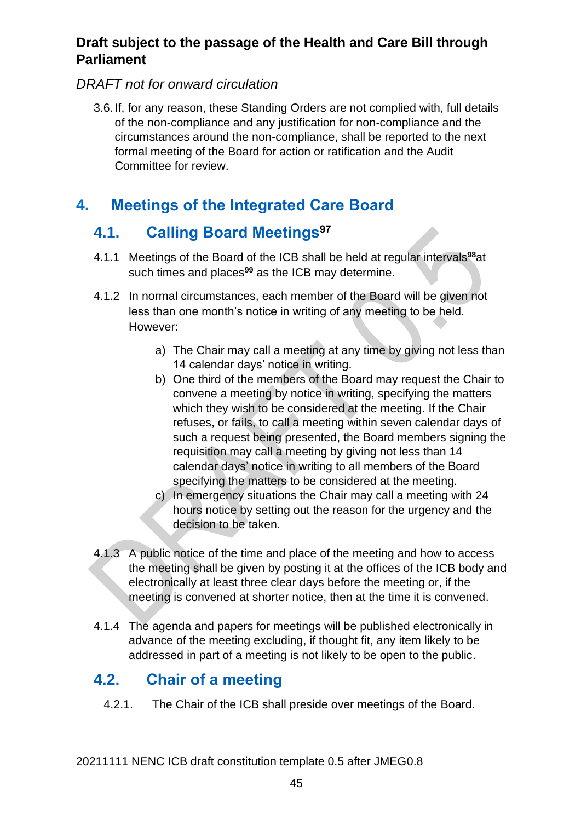## *DRAFT not for onward circulation*

3.6.If, for any reason, these Standing Orders are not complied with, full details of the non-compliance and any justification for non-compliance and the circumstances around the non-compliance, shall be reported to the next formal meeting of the Board for action or ratification and the Audit Committee for review.

# <span id="page-44-0"></span>**4. Meetings of the Integrated Care Board**

# <span id="page-44-1"></span>**4.1. Calling Board Meetings<sup>97</sup>**

- 4.1.1 Meetings of the Board of the ICB shall be held at regular intervals**<sup>98</sup>**at such times and places**<sup>99</sup>** as the ICB may determine.
- 4.1.2 In normal circumstances, each member of the Board will be given not less than one month's notice in writing of any meeting to be held. However:
	- a) The Chair may call a meeting at any time by giving not less than 14 calendar days' notice in writing.
	- b) One third of the members of the Board may request the Chair to convene a meeting by notice in writing, specifying the matters which they wish to be considered at the meeting. If the Chair refuses, or fails, to call a meeting within seven calendar days of such a request being presented, the Board members signing the requisition may call a meeting by giving not less than 14 calendar days' notice in writing to all members of the Board specifying the matters to be considered at the meeting.
	- c) In emergency situations the Chair may call a meeting with 24 hours notice by setting out the reason for the urgency and the decision to be taken.
- 4.1.3 A public notice of the time and place of the meeting and how to access the meeting shall be given by posting it at the offices of the ICB body and electronically at least three clear days before the meeting or, if the meeting is convened at shorter notice, then at the time it is convened.
- 4.1.4 The agenda and papers for meetings will be published electronically in advance of the meeting excluding, if thought fit, any item likely to be addressed in part of a meeting is not likely to be open to the public.

# <span id="page-44-2"></span>**4.2. Chair of a meeting**

4.2.1. The Chair of the ICB shall preside over meetings of the Board.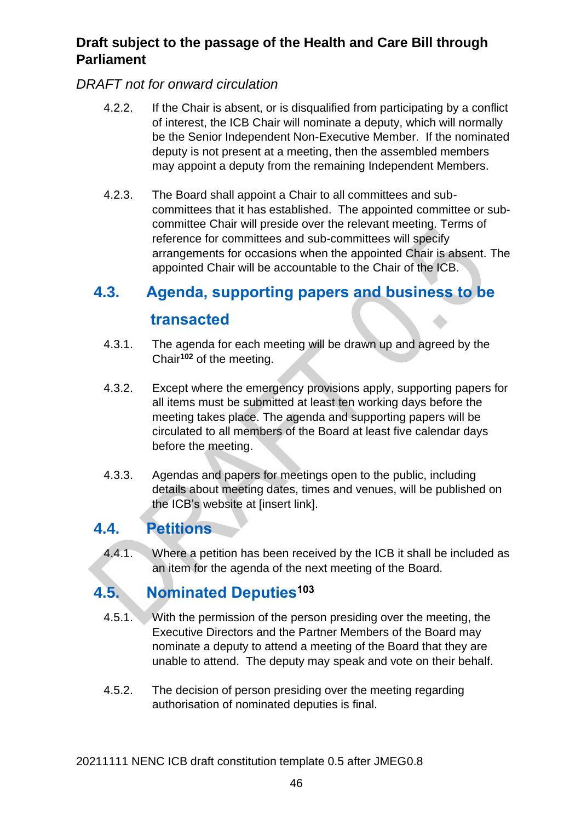## *DRAFT not for onward circulation*

- 4.2.2. If the Chair is absent, or is disqualified from participating by a conflict of interest, the ICB Chair will nominate a deputy, which will normally be the Senior Independent Non-Executive Member. If the nominated deputy is not present at a meeting, then the assembled members may appoint a deputy from the remaining Independent Members.
- 4.2.3. The Board shall appoint a Chair to all committees and subcommittees that it has established. The appointed committee or subcommittee Chair will preside over the relevant meeting. Terms of reference for committees and sub-committees will specify arrangements for occasions when the appointed Chair is absent. The appointed Chair will be accountable to the Chair of the ICB.

# <span id="page-45-0"></span>**4.3. Agenda, supporting papers and business to be transacted**

- 4.3.1. The agenda for each meeting will be drawn up and agreed by the Chair**<sup>102</sup>** of the meeting.
- 4.3.2. Except where the emergency provisions apply, supporting papers for all items must be submitted at least ten working days before the meeting takes place. The agenda and supporting papers will be circulated to all members of the Board at least five calendar days before the meeting.
- 4.3.3. Agendas and papers for meetings open to the public, including details about meeting dates, times and venues, will be published on the ICB's website at [insert link].

# <span id="page-45-1"></span>**4.4. Petitions**

4.4.1. Where a petition has been received by the ICB it shall be included as an item for the agenda of the next meeting of the Board.

# <span id="page-45-2"></span>**4.5. Nominated Deputies<sup>103</sup>**

- 4.5.1. With the permission of the person presiding over the meeting, the Executive Directors and the Partner Members of the Board may nominate a deputy to attend a meeting of the Board that they are unable to attend. The deputy may speak and vote on their behalf.
- 4.5.2. The decision of person presiding over the meeting regarding authorisation of nominated deputies is final.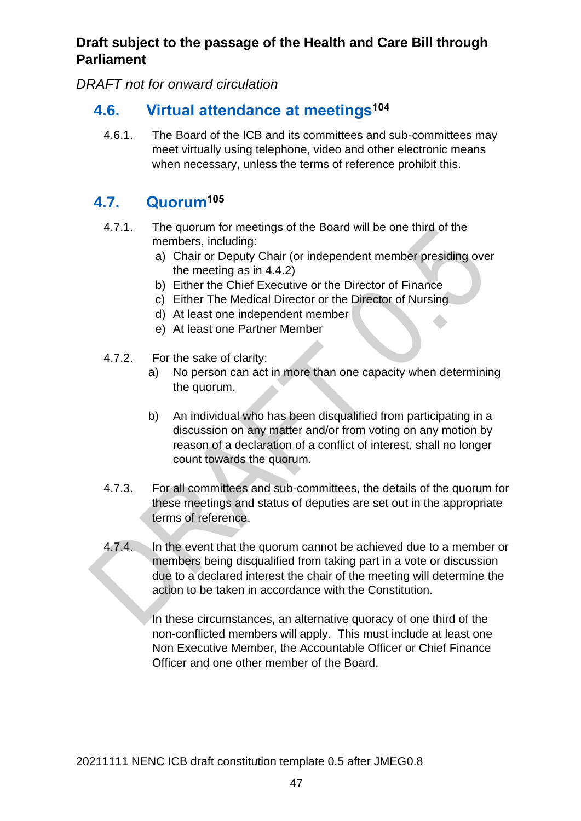*DRAFT not for onward circulation*

# <span id="page-46-0"></span>**4.6. Virtual attendance at meetings<sup>104</sup>**

4.6.1. The Board of the ICB and its committees and sub-committees may meet virtually using telephone, video and other electronic means when necessary, unless the terms of reference prohibit this.

# <span id="page-46-1"></span>**4.7. Quorum<sup>105</sup>**

- 4.7.1. The quorum for meetings of the Board will be one third of the members, including:
	- a) Chair or Deputy Chair (or independent member presiding over the meeting as in 4.4.2)
	- b) Either the Chief Executive or the Director of Finance
	- c) Either The Medical Director or the Director of Nursing
	- d) At least one independent member
	- e) At least one Partner Member
- 4.7.2. For the sake of clarity:
	- a) No person can act in more than one capacity when determining the quorum.
	- b) An individual who has been disqualified from participating in a discussion on any matter and/or from voting on any motion by reason of a declaration of a conflict of interest, shall no longer count towards the quorum.
- 4.7.3. For all committees and sub-committees, the details of the quorum for these meetings and status of deputies are set out in the appropriate terms of reference.
- 4.7.4. In the event that the quorum cannot be achieved due to a member or members being disqualified from taking part in a vote or discussion due to a declared interest the chair of the meeting will determine the action to be taken in accordance with the Constitution.

In these circumstances, an alternative quoracy of one third of the non-conflicted members will apply. This must include at least one Non Executive Member, the Accountable Officer or Chief Finance Officer and one other member of the Board.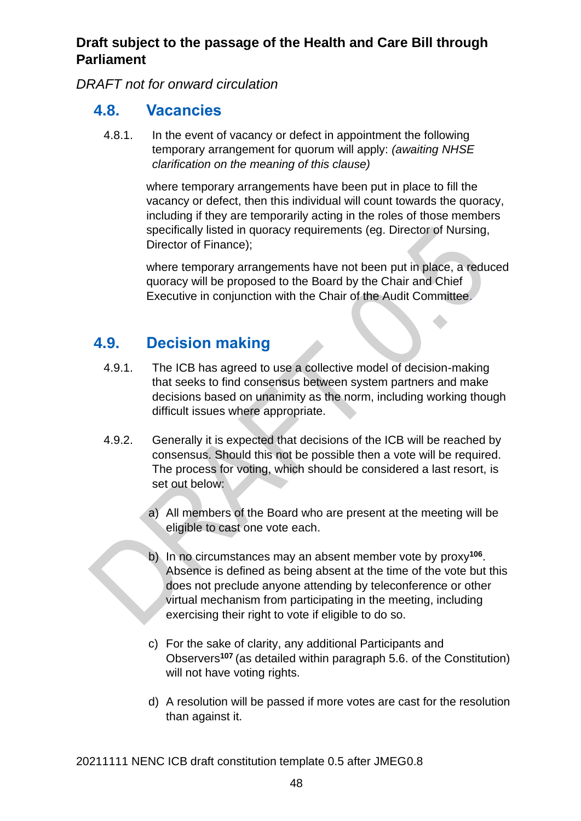*DRAFT not for onward circulation*

# <span id="page-47-0"></span>**4.8. Vacancies**

4.8.1. In the event of vacancy or defect in appointment the following temporary arrangement for quorum will apply: *(awaiting NHSE clarification on the meaning of this clause)*

> where temporary arrangements have been put in place to fill the vacancy or defect, then this individual will count towards the quoracy, including if they are temporarily acting in the roles of those members specifically listed in quoracy requirements (eq. Director of Nursing, Director of Finance);

where temporary arrangements have not been put in place, a reduced quoracy will be proposed to the Board by the Chair and Chief Executive in conjunction with the Chair of the Audit Committee.

# <span id="page-47-1"></span>**4.9. Decision making**

- 4.9.1. The ICB has agreed to use a collective model of decision-making that seeks to find consensus between system partners and make decisions based on unanimity as the norm, including working though difficult issues where appropriate.
- 4.9.2. Generally it is expected that decisions of the ICB will be reached by consensus. Should this not be possible then a vote will be required. The process for voting, which should be considered a last resort, is set out below:
	- a) All members of the Board who are present at the meeting will be eligible to cast one vote each.
	- b) In no circumstances may an absent member vote by proxy**<sup>106</sup>** . Absence is defined as being absent at the time of the vote but this does not preclude anyone attending by teleconference or other virtual mechanism from participating in the meeting, including exercising their right to vote if eligible to do so.
	- c) For the sake of clarity, any additional Participants and Observers**<sup>107</sup>** (as detailed within paragraph 5.6. of the Constitution) will not have voting rights.
	- d) A resolution will be passed if more votes are cast for the resolution than against it.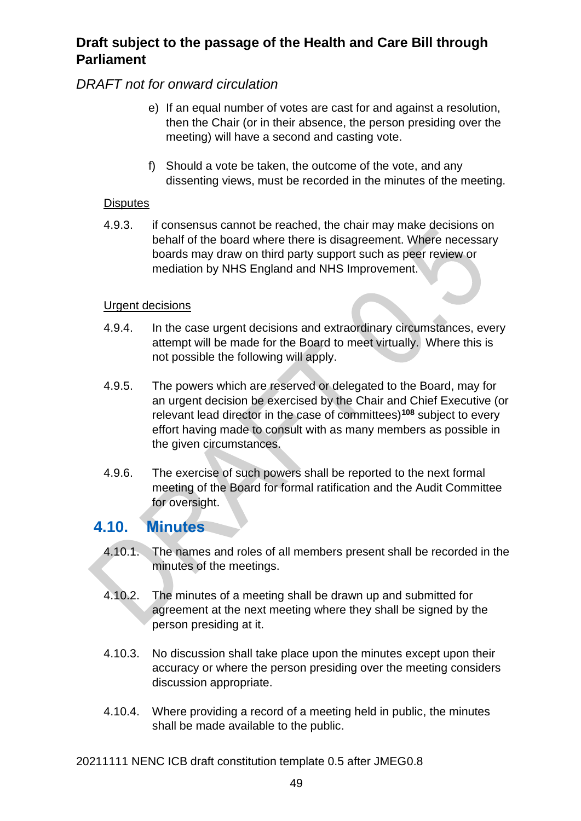#### *DRAFT not for onward circulation*

- e) If an equal number of votes are cast for and against a resolution, then the Chair (or in their absence, the person presiding over the meeting) will have a second and casting vote.
- f) Should a vote be taken, the outcome of the vote, and any dissenting views, must be recorded in the minutes of the meeting.

#### **Disputes**

4.9.3. if consensus cannot be reached, the chair may make decisions on behalf of the board where there is disagreement. Where necessary boards may draw on third party support such as peer review or mediation by NHS England and NHS Improvement.

#### Urgent decisions

- 4.9.4. In the case urgent decisions and extraordinary circumstances, every attempt will be made for the Board to meet virtually. Where this is not possible the following will apply.
- 4.9.5. The powers which are reserved or delegated to the Board, may for an urgent decision be exercised by the Chair and Chief Executive (or relevant lead director in the case of committees)**<sup>108</sup>** subject to every effort having made to consult with as many members as possible in the given circumstances.
- 4.9.6. The exercise of such powers shall be reported to the next formal meeting of the Board for formal ratification and the Audit Committee for oversight.

## <span id="page-48-0"></span>**4.10. Minutes**

- 4.10.1. The names and roles of all members present shall be recorded in the minutes of the meetings.
- 4.10.2. The minutes of a meeting shall be drawn up and submitted for agreement at the next meeting where they shall be signed by the person presiding at it.
- 4.10.3. No discussion shall take place upon the minutes except upon their accuracy or where the person presiding over the meeting considers discussion appropriate.
- 4.10.4. Where providing a record of a meeting held in public, the minutes shall be made available to the public.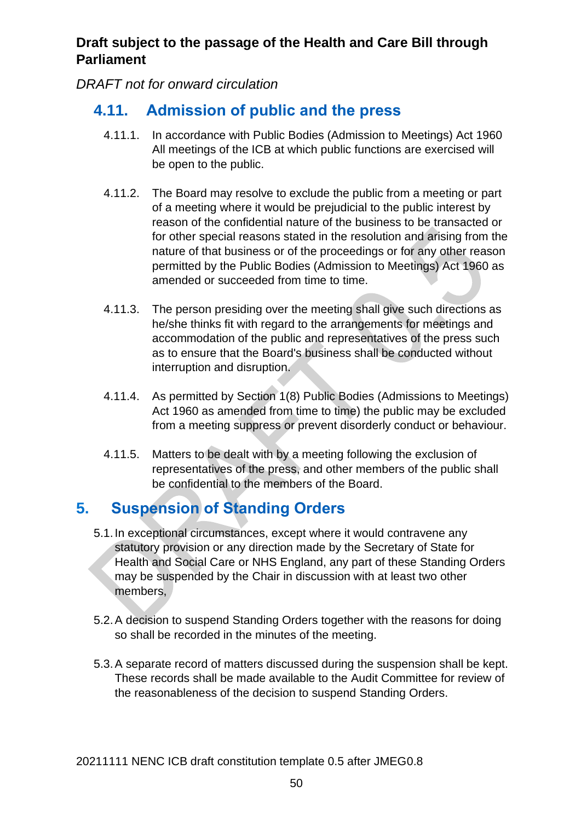*DRAFT not for onward circulation*

# <span id="page-49-0"></span>**4.11. Admission of public and the press**

- 4.11.1. In accordance with Public Bodies (Admission to Meetings) Act 1960 All meetings of the ICB at which public functions are exercised will be open to the public.
- 4.11.2. The Board may resolve to exclude the public from a meeting or part of a meeting where it would be prejudicial to the public interest by reason of the confidential nature of the business to be transacted or for other special reasons stated in the resolution and arising from the nature of that business or of the proceedings or for any other reason permitted by the Public Bodies (Admission to Meetings) Act 1960 as amended or succeeded from time to time.
- 4.11.3. The person presiding over the meeting shall give such directions as he/she thinks fit with regard to the arrangements for meetings and accommodation of the public and representatives of the press such as to ensure that the Board's business shall be conducted without interruption and disruption.
- 4.11.4. As permitted by Section 1(8) Public Bodies (Admissions to Meetings) Act 1960 as amended from time to time) the public may be excluded from a meeting suppress or prevent disorderly conduct or behaviour.
- 4.11.5. Matters to be dealt with by a meeting following the exclusion of representatives of the press, and other members of the public shall be confidential to the members of the Board.

# <span id="page-49-1"></span>**5. Suspension of Standing Orders**

- 5.1.In exceptional circumstances, except where it would contravene any statutory provision or any direction made by the Secretary of State for Health and Social Care or NHS England, any part of these Standing Orders may be suspended by the Chair in discussion with at least two other members,
- 5.2.A decision to suspend Standing Orders together with the reasons for doing so shall be recorded in the minutes of the meeting.
- 5.3.A separate record of matters discussed during the suspension shall be kept. These records shall be made available to the Audit Committee for review of the reasonableness of the decision to suspend Standing Orders.